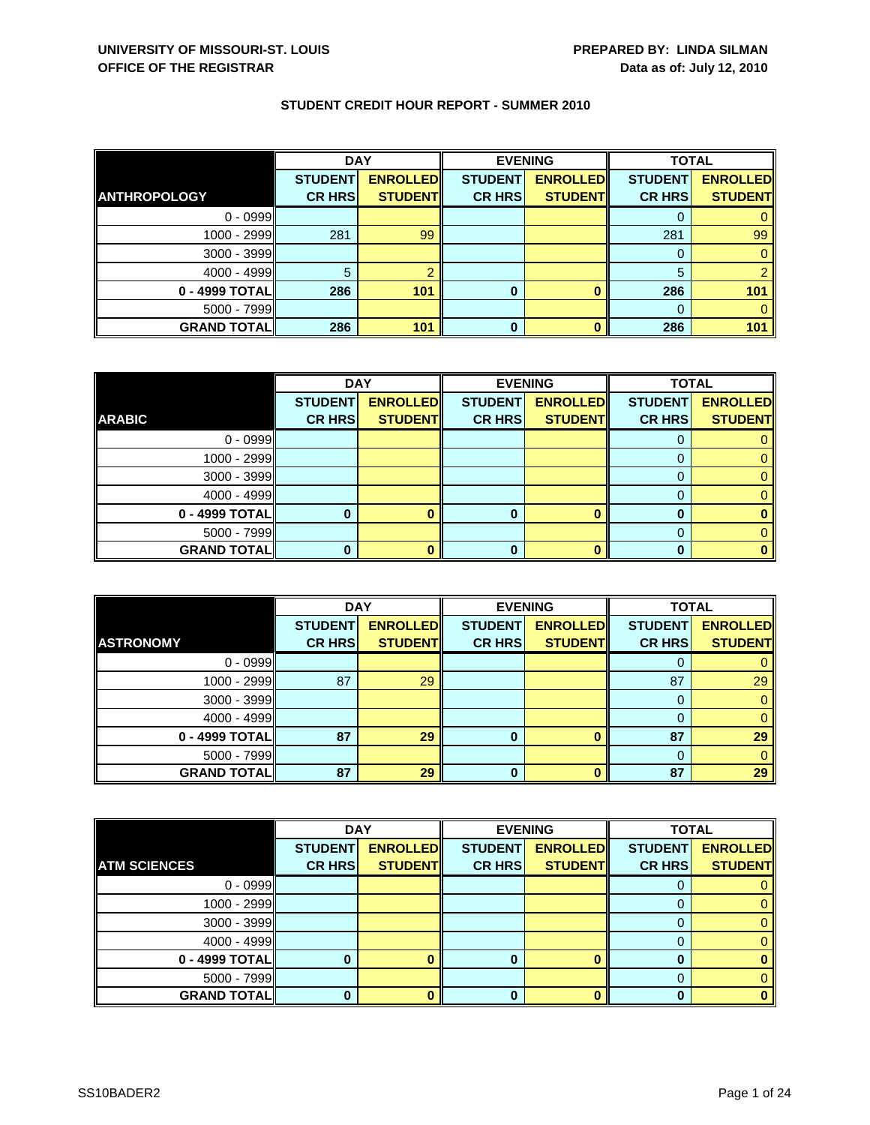| <b>STUDENT CREDIT HOUR REPORT - SUMMER 2010</b> |  |
|-------------------------------------------------|--|
|-------------------------------------------------|--|

|                     | <b>DAY</b>     |                 | <b>EVENING</b> |                 | <b>TOTAL</b>   |                 |
|---------------------|----------------|-----------------|----------------|-----------------|----------------|-----------------|
|                     | <b>STUDENT</b> | <b>ENROLLED</b> | <b>STUDENT</b> | <b>ENROLLED</b> | <b>STUDENT</b> | <b>ENROLLED</b> |
| <b>ANTHROPOLOGY</b> | <b>CR HRS</b>  | <b>STUDENT</b>  | <b>CR HRS</b>  | <b>STUDENT</b>  | <b>CR HRS</b>  | <b>STUDENT</b>  |
| $0 - 0999$          |                |                 |                |                 |                |                 |
| 1000 - 2999         | 281            | 99              |                |                 | 281            | 99              |
| 3000 - 3999         |                |                 |                |                 | 0              |                 |
| $4000 - 4999$       | 5              |                 |                |                 | 5              |                 |
| 0 - 4999 TOTAL      | 286            | 101             | 0              |                 | 286            | 101             |
| $5000 - 7999$       |                |                 |                |                 | 0              |                 |
| <b>GRAND TOTAL</b>  | 286            | 101             | 0              |                 | 286            | 101             |

|                    | <b>DAY</b>     |                 | <b>EVENING</b> |                 | <b>TOTAL</b>   |                 |
|--------------------|----------------|-----------------|----------------|-----------------|----------------|-----------------|
|                    | <b>STUDENT</b> | <b>ENROLLED</b> | <b>STUDENT</b> | <b>ENROLLED</b> | <b>STUDENT</b> | <b>ENROLLED</b> |
| <b>ARABIC</b>      | <b>CR HRS</b>  | <b>STUDENT</b>  | <b>CR HRS</b>  | <b>STUDENT</b>  | <b>CR HRS</b>  | <b>STUDENT</b>  |
| $0 - 0999$         |                |                 |                |                 |                |                 |
| 1000 - 2999        |                |                 |                |                 |                |                 |
| $3000 - 3999$      |                |                 |                |                 | O              |                 |
| $4000 - 4999$      |                |                 |                |                 |                |                 |
| 0 - 4999 TOTAL     |                |                 | ŋ              | n               | O              |                 |
| $5000 - 7999$      |                |                 |                |                 |                |                 |
| <b>GRAND TOTAL</b> | 0              |                 |                |                 |                |                 |

|                    | <b>DAY</b>     |                 |                | <b>EVENING</b>  | <b>TOTAL</b>   |                 |
|--------------------|----------------|-----------------|----------------|-----------------|----------------|-----------------|
|                    | <b>STUDENT</b> | <b>ENROLLED</b> | <b>STUDENT</b> | <b>ENROLLED</b> | <b>STUDENT</b> | <b>ENROLLED</b> |
| <b>ASTRONOMY</b>   | <b>CR HRS</b>  | <b>STUDENT</b>  | <b>CR HRS</b>  | <b>STUDENT</b>  | <b>CR HRS</b>  | <b>STUDENT</b>  |
| $0 - 0999$         |                |                 |                |                 |                |                 |
| $1000 - 2999$      | 87             | 29              |                |                 | 87             | 29              |
| $3000 - 3999$      |                |                 |                |                 |                |                 |
| $4000 - 4999$      |                |                 |                |                 |                |                 |
| $0 - 4999$ TOTAL   | 87             | 29              | $\bf{0}$       |                 | 87             | 29              |
| $5000 - 7999$      |                |                 |                |                 | $\Omega$       |                 |
| <b>GRAND TOTAL</b> | 87             | 29              | $\bf{0}$       |                 | 87             | 29              |

|                     | <b>DAY</b>     |                 |                | <b>EVENING</b>  | <b>TOTAL</b>   |                 |
|---------------------|----------------|-----------------|----------------|-----------------|----------------|-----------------|
|                     | <b>STUDENT</b> | <b>ENROLLED</b> | <b>STUDENT</b> | <b>ENROLLED</b> | <b>STUDENT</b> | <b>ENROLLED</b> |
| <b>ATM SCIENCES</b> | <b>CR HRS</b>  | <b>STUDENT</b>  | <b>CR HRS</b>  | <b>STUDENT</b>  | <b>CR HRS</b>  | <b>STUDENT</b>  |
| $0 - 0999$          |                |                 |                |                 |                |                 |
| 1000 - 2999         |                |                 |                |                 |                |                 |
| 3000 - 3999         |                |                 |                |                 |                |                 |
| $4000 - 4999$       |                |                 |                |                 | 0              |                 |
| 0 - 4999 TOTAL      |                |                 | 0              |                 |                |                 |
| 5000 - 7999         |                |                 |                |                 |                |                 |
| <b>GRAND TOTAL</b>  |                |                 | 0              |                 |                |                 |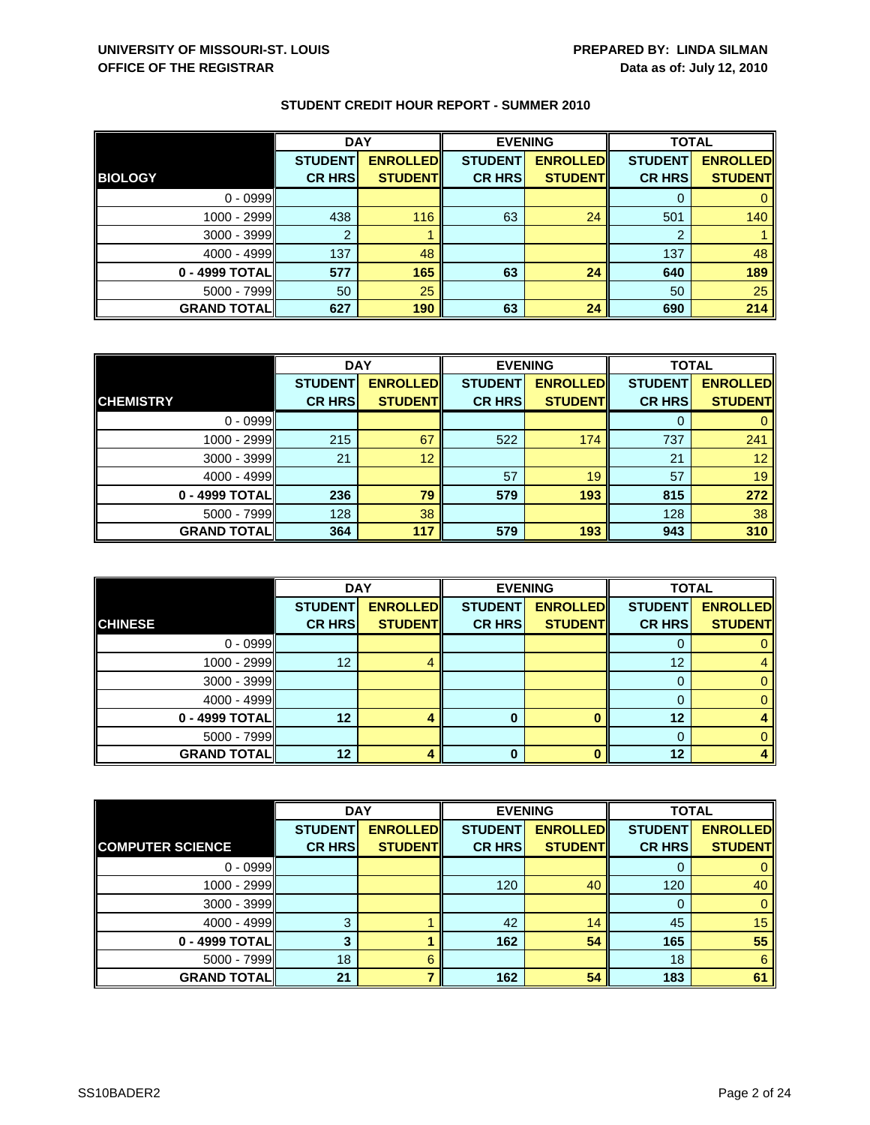|                    | <b>DAY</b>     |                 | <b>EVENING</b> |                 | <b>TOTAL</b>   |                 |
|--------------------|----------------|-----------------|----------------|-----------------|----------------|-----------------|
|                    | <b>STUDENT</b> | <b>ENROLLED</b> | <b>STUDENT</b> | <b>ENROLLED</b> | <b>STUDENT</b> | <b>ENROLLED</b> |
| <b>BIOLOGY</b>     | <b>CR HRS</b>  | <b>STUDENT</b>  | <b>CR HRS</b>  | <b>STUDENT</b>  | <b>CR HRS</b>  | <b>STUDENT</b>  |
| $0 - 0999$         |                |                 |                |                 |                |                 |
| 1000 - 2999        | 438            | 116             | 63             | 24              | 501            | 140             |
| $3000 - 3999$      |                |                 |                |                 | 2              |                 |
| $4000 - 4999$      | 137            | 48              |                |                 | 137            | 48              |
| 0 - 4999 TOTAL     | 577            | 165             | 63             | 24              | 640            | 189             |
| $5000 - 7999$      | 50             | 25              |                |                 | 50             | 25              |
| <b>GRAND TOTAL</b> | 627            | 190             | 63             | 24              | 690            | 214             |

|                    | <b>DAY</b>     |                 |                | <b>EVENING</b>  | <b>TOTAL</b>   |                 |
|--------------------|----------------|-----------------|----------------|-----------------|----------------|-----------------|
|                    | <b>STUDENT</b> | <b>ENROLLED</b> | <b>STUDENT</b> | <b>ENROLLED</b> | <b>STUDENT</b> | <b>ENROLLED</b> |
| <b>CHEMISTRY</b>   | <b>CR HRS</b>  | <b>STUDENT</b>  | <b>CR HRS</b>  | <b>STUDENT</b>  | <b>CR HRS</b>  | <b>STUDENT</b>  |
| $0 - 0999$         |                |                 |                |                 |                |                 |
| $1000 - 2999$      | 215            | 67              | 522            | 174             | 737            | 241             |
| $3000 - 3999$      | 21             | 12              |                |                 | 21             | 12 <sup>1</sup> |
| $4000 - 4999$      |                |                 | 57             | 19              | 57             | 19              |
| 0 - 4999 TOTAL     | 236            | 79              | 579            | 193             | 815            | 272             |
| $5000 - 7999$      | 128            | 38              |                |                 | 128            | 38              |
| <b>GRAND TOTAL</b> | 364            | 117             | 579            | 193             | 943            | 310             |

|                     | <b>DAY</b>     |                 |                | <b>EVENING</b>  | <b>TOTAL</b>   |                 |
|---------------------|----------------|-----------------|----------------|-----------------|----------------|-----------------|
|                     | <b>STUDENT</b> | <b>ENROLLED</b> | <b>STUDENT</b> | <b>ENROLLED</b> | <b>STUDENT</b> | <b>ENROLLED</b> |
| <b>CHINESE</b>      | <b>CR HRS</b>  | <b>STUDENT</b>  | <b>CR HRS</b>  | <b>STUDENT</b>  | <b>CR HRS</b>  | <b>STUDENT</b>  |
| $0 - 0999$          |                |                 |                |                 | O              |                 |
| $1000 - 2999$       | 12             |                 |                |                 | 12             |                 |
| $3000 - 3999$       |                |                 |                |                 |                |                 |
| $4000 - 4999$       |                |                 |                |                 | 0              |                 |
| 0 - 4999 TOTAL      | 12             |                 |                |                 | 12             |                 |
| $5000 - 7999$       |                |                 |                |                 | $\Omega$       |                 |
| <b>GRAND TOTALI</b> | 12             |                 | 0              |                 | 12             |                 |

|                         | <b>DAY</b>     |                 | <b>EVENING</b> |                 | <b>TOTAL</b>   |                 |
|-------------------------|----------------|-----------------|----------------|-----------------|----------------|-----------------|
|                         | <b>STUDENT</b> | <b>ENROLLED</b> | <b>STUDENT</b> | <b>ENROLLED</b> | <b>STUDENT</b> | <b>ENROLLED</b> |
| <b>COMPUTER SCIENCE</b> | <b>CR HRS</b>  | <b>STUDENT</b>  | <b>CR HRS</b>  | <b>STUDENT</b>  | <b>CR HRS</b>  | <b>STUDENT</b>  |
| $0 - 0999$              |                |                 |                |                 | O              | 0               |
| 1000 - 2999             |                |                 | 120            | 40              | 120            | 40              |
| $3000 - 3999$           |                |                 |                |                 | 0              | $\mathbf{0}$    |
| $4000 - 4999$           | 3              |                 | 42             | 14              | 45             | 15              |
| $0 - 4999$ TOTAL        |                |                 | 162            | 54              | 165            | 55              |
| $5000 - 7999$           | 18             | 6               |                |                 | 18             | 6               |
| <b>GRAND TOTAL</b>      | 21             |                 | 162            | 54              | 183            | 61              |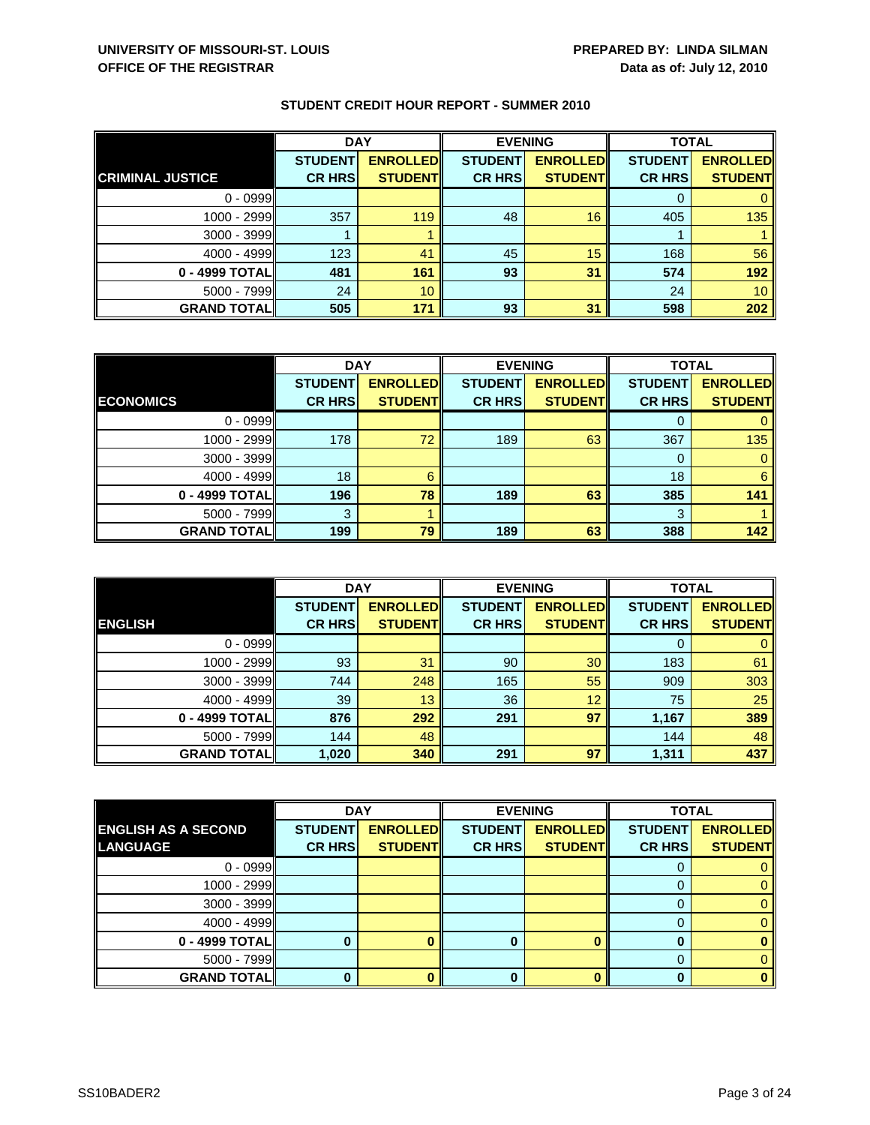|                         | <b>DAY</b>     |                 | <b>EVENING</b> |                 | <b>TOTAL</b>   |                 |
|-------------------------|----------------|-----------------|----------------|-----------------|----------------|-----------------|
|                         | <b>STUDENT</b> | <b>ENROLLED</b> | <b>STUDENT</b> | <b>ENROLLED</b> | <b>STUDENT</b> | <b>ENROLLED</b> |
| <b>CRIMINAL JUSTICE</b> | <b>CR HRS</b>  | <b>STUDENT</b>  | <b>CR HRS</b>  | <b>STUDENT</b>  | <b>CR HRS</b>  | <b>STUDENT</b>  |
| $0 - 0999$              |                |                 |                |                 |                |                 |
| 1000 - 2999             | 357            | 119             | 48             | 16              | 405            | 135             |
| 3000 - 3999             |                |                 |                |                 |                |                 |
| $4000 - 4999$           | 123            | 41              | 45             | 15              | 168            | 56              |
| 0 - 4999 TOTAL          | 481            | 161             | 93             | 31              | 574            | 192             |
| $5000 - 7999$           | 24             | 10              |                |                 | 24             | 10 <sup>°</sup> |
| <b>GRAND TOTAL</b>      | 505            | 171             | 93             | 31              | 598            | 202             |

|                    | <b>DAY</b>     |                 | <b>EVENING</b> |                 | <b>TOTAL</b>   |                 |
|--------------------|----------------|-----------------|----------------|-----------------|----------------|-----------------|
|                    | <b>STUDENT</b> | <b>ENROLLED</b> | <b>STUDENT</b> | <b>ENROLLED</b> | <b>STUDENT</b> | <b>ENROLLED</b> |
| <b>ECONOMICS</b>   | <b>CR HRS</b>  | <b>STUDENT</b>  | <b>CR HRS</b>  | <b>STUDENT</b>  | <b>CR HRS</b>  | <b>STUDENT</b>  |
| $0 - 0999$         |                |                 |                |                 |                |                 |
| $1000 - 2999$      | 178            | 72              | 189            | 63              | 367            | 135             |
| $3000 - 3999$      |                |                 |                |                 | O              |                 |
| $4000 - 4999$      | 18             | 6               |                |                 | 18             | 6               |
| 0 - 4999 TOTAL     | 196            | 78              | 189            | 63              | 385            | 141             |
| $5000 - 7999$      | 3              |                 |                |                 | 3              |                 |
| <b>GRAND TOTAL</b> | 199            | 79              | 189            | 63              | 388            | 142             |

|                    | <b>DAY</b>     |                 | <b>EVENING</b> |                 | <b>TOTAL</b>   |                 |
|--------------------|----------------|-----------------|----------------|-----------------|----------------|-----------------|
|                    | <b>STUDENT</b> | <b>ENROLLED</b> | <b>STUDENT</b> | <b>ENROLLED</b> | <b>STUDENT</b> | <b>ENROLLED</b> |
| <b>ENGLISH</b>     | <b>CR HRS</b>  | <b>STUDENT</b>  | <b>CR HRS</b>  | <b>STUDENT</b>  | <b>CR HRS</b>  | <b>STUDENT</b>  |
| $0 - 0999$         |                |                 |                |                 | O              |                 |
| 1000 - 2999        | 93             | 31              | 90             | 30              | 183            | 61              |
| $3000 - 3999$      | 744            | 248             | 165            | 55              | 909            | 303             |
| $4000 - 4999$      | 39             | 13              | 36             | 12              | 75             | 25              |
| 0 - 4999 TOTAL     | 876            | 292             | 291            | 97              | 1,167          | 389             |
| $5000 - 7999$      | 144            | 48              |                |                 | 144            | 48              |
| <b>GRAND TOTAL</b> | 1,020          | 340             | 291            | 97              | 1,311          | 437             |

|                            | <b>DAY</b>     |                 |                | <b>EVENING</b>  |                | <b>TOTAL</b>    |  |
|----------------------------|----------------|-----------------|----------------|-----------------|----------------|-----------------|--|
| <b>ENGLISH AS A SECOND</b> | <b>STUDENT</b> | <b>ENROLLED</b> | <b>STUDENT</b> | <b>ENROLLED</b> | <b>STUDENT</b> | <b>ENROLLED</b> |  |
| <b>LANGUAGE</b>            | <b>CR HRS</b>  | <b>STUDENT</b>  | <b>CR HRSI</b> | <b>STUDENT</b>  | <b>CR HRSI</b> | <b>STUDENT</b>  |  |
| $0 - 0999$                 |                |                 |                |                 |                |                 |  |
| $1000 - 2999$              |                |                 |                |                 |                | 0.              |  |
| $3000 - 3999$              |                |                 |                |                 | O              |                 |  |
| $4000 - 4999$              |                |                 |                |                 |                |                 |  |
| 0 - 4999 TOTAL             |                |                 |                |                 |                |                 |  |
| $5000 - 7999$              |                |                 |                |                 |                |                 |  |
| <b>GRAND TOTAL</b>         |                |                 |                |                 |                |                 |  |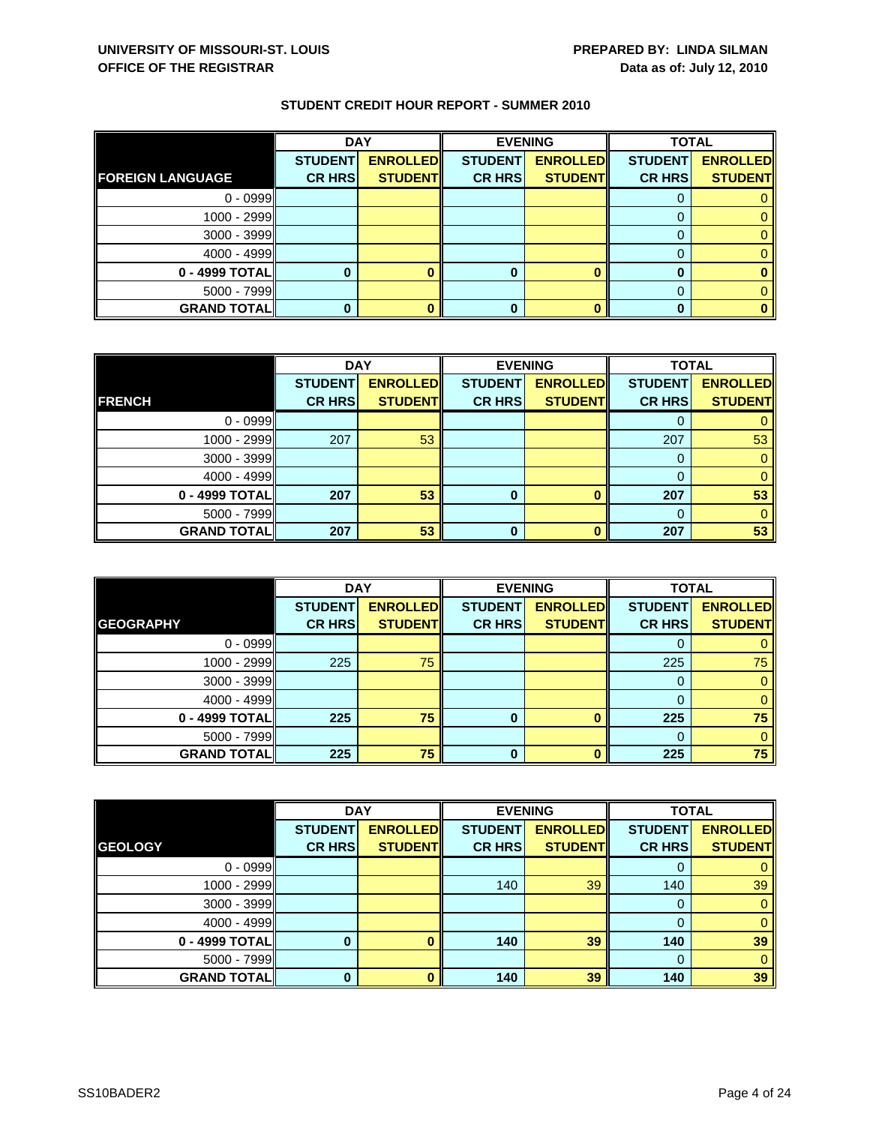|                         | <b>DAY</b>     |                 | <b>EVENING</b> |                 | <b>TOTAL</b>   |                 |
|-------------------------|----------------|-----------------|----------------|-----------------|----------------|-----------------|
|                         | <b>STUDENT</b> | <b>ENROLLED</b> | <b>STUDENT</b> | <b>ENROLLED</b> | <b>STUDENT</b> | <b>ENROLLED</b> |
| <b>FOREIGN LANGUAGE</b> | <b>CR HRS</b>  | <b>STUDENT</b>  | <b>CR HRS</b>  | <b>STUDENT</b>  | <b>CR HRS</b>  | <b>STUDENT</b>  |
| $0 - 0999$              |                |                 |                |                 |                |                 |
| 1000 - 2999             |                |                 |                |                 |                |                 |
| $3000 - 3999$           |                |                 |                |                 |                |                 |
| $4000 - 4999$           |                |                 |                |                 |                |                 |
| 0 - 4999 TOTAL          |                |                 | 0              |                 |                |                 |
| $5000 - 7999$           |                |                 |                |                 |                |                 |
| <b>GRAND TOTAL</b>      |                |                 | 0              |                 |                |                 |

|                    | <b>DAY</b>     |                 |                | <b>EVENING</b>  | <b>TOTAL</b>   |                 |
|--------------------|----------------|-----------------|----------------|-----------------|----------------|-----------------|
|                    | <b>STUDENT</b> | <b>ENROLLED</b> | <b>STUDENT</b> | <b>ENROLLED</b> | <b>STUDENT</b> | <b>ENROLLED</b> |
| <b>FRENCH</b>      | <b>CR HRS</b>  | <b>STUDENT</b>  | <b>CR HRS</b>  | <b>STUDENT</b>  | <b>CR HRS</b>  | <b>STUDENT</b>  |
| $0 - 0999$         |                |                 |                |                 |                |                 |
| 1000 - 2999        | 207            | 53              |                |                 | 207            | 53              |
| $3000 - 3999$      |                |                 |                |                 | 0              |                 |
| $4000 - 4999$      |                |                 |                |                 | O              |                 |
| 0 - 4999 TOTAL     | 207            | 53              | 0              |                 | 207            | 53              |
| $5000 - 7999$      |                |                 |                |                 | $\Omega$       |                 |
| <b>GRAND TOTAL</b> | 207            | 53              | ŋ              | n               | 207            | 53              |

|                     | <b>DAY</b>     |                 | <b>EVENING</b> |                 | <b>TOTAL</b>   |                 |
|---------------------|----------------|-----------------|----------------|-----------------|----------------|-----------------|
|                     | <b>STUDENT</b> | <b>ENROLLED</b> | <b>STUDENT</b> | <b>ENROLLED</b> | <b>STUDENT</b> | <b>ENROLLED</b> |
| <b>GEOGRAPHY</b>    | <b>CR HRS</b>  | <b>STUDENT</b>  | <b>CR HRS</b>  | <b>STUDENT</b>  | <b>CR HRS</b>  | <b>STUDENT</b>  |
| $0 - 0999$          |                |                 |                |                 |                |                 |
| $1000 - 2999$       | 225            | 75              |                |                 | 225            | 75              |
| $3000 - 3999$       |                |                 |                |                 |                |                 |
| $4000 - 4999$       |                |                 |                |                 |                |                 |
| 0 - 4999 TOTAL      | 225            | 75              | 0              |                 | 225            | 75              |
| $5000 - 7999$       |                |                 |                |                 |                | 0               |
| <b>GRAND TOTALI</b> | 225            | 75              | 0              |                 | 225            | 75              |

|                    |                | <b>DAY</b><br><b>EVENING</b> |                |                 | <b>TOTAL</b>   |                 |
|--------------------|----------------|------------------------------|----------------|-----------------|----------------|-----------------|
|                    | <b>STUDENT</b> | <b>ENROLLED</b>              | <b>STUDENT</b> | <b>ENROLLED</b> | <b>STUDENT</b> | <b>ENROLLED</b> |
| <b>GEOLOGY</b>     | <b>CR HRS</b>  | <b>STUDENT</b>               | <b>CR HRS</b>  | <b>STUDENT</b>  | <b>CR HRS</b>  | <b>STUDENT</b>  |
| $0 - 0999$         |                |                              |                |                 | 0              | 0               |
| 1000 - 2999        |                |                              | 140            | 39              | 140            | 39              |
| $3000 - 3999$      |                |                              |                |                 | 0              | $\mathbf{0}$    |
| $4000 - 4999$      |                |                              |                |                 | 0              | $\mathbf{0}$    |
| 0 - 4999 TOTAL     |                |                              | 140            | 39              | 140            | 39              |
| 5000 - 7999        |                |                              |                |                 | $\Omega$       | $\mathbf{0}$    |
| <b>GRAND TOTAL</b> | O              |                              | 140            | 39              | 140            | 39              |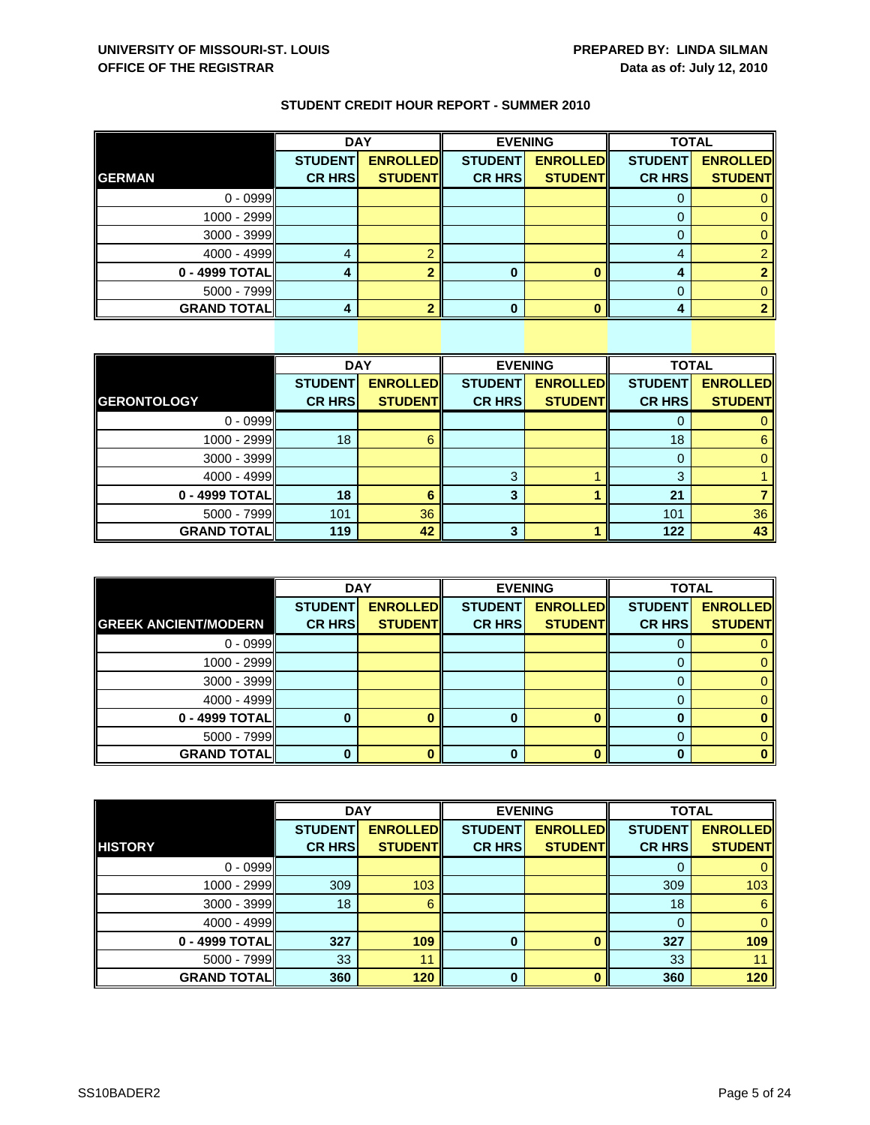|                    | <b>DAY</b>     |                 |                | <b>EVENING</b>  | <b>TOTAL</b>   |                 |
|--------------------|----------------|-----------------|----------------|-----------------|----------------|-----------------|
|                    | <b>STUDENT</b> | <b>ENROLLED</b> | <b>STUDENT</b> | <b>ENROLLED</b> | <b>STUDENT</b> | <b>ENROLLED</b> |
| <b>GERMAN</b>      | <b>CR HRS</b>  | <b>STUDENT</b>  | <b>CR HRS</b>  | <b>STUDENT</b>  | <b>CR HRS</b>  | <b>STUDENT</b>  |
| $0 - 0999$         |                |                 |                |                 | O              |                 |
| $1000 - 2999$      |                |                 |                |                 |                |                 |
| $3000 - 3999$      |                |                 |                |                 | $\Omega$       |                 |
| $4000 - 4999$      |                |                 |                |                 | 4              |                 |
| 0 - 4999 TOTAL     |                |                 | 0              |                 | Д              |                 |
| 5000 - 7999        |                |                 |                |                 | 0              |                 |
| <b>GRAND TOTAL</b> |                |                 |                |                 |                |                 |

|                    | <b>DAY</b>     |                 |                | <b>EVENING</b>  | <b>TOTAL</b>   |                 |
|--------------------|----------------|-----------------|----------------|-----------------|----------------|-----------------|
|                    | <b>STUDENT</b> | <b>ENROLLED</b> | <b>STUDENT</b> | <b>ENROLLED</b> | <b>STUDENT</b> | <b>ENROLLED</b> |
| <b>GERONTOLOGY</b> | <b>CR HRS</b>  | <b>STUDENT</b>  | <b>CR HRS</b>  | <b>STUDENT</b>  | <b>CR HRS</b>  | <b>STUDENT</b>  |
| $0 - 0999$         |                |                 |                |                 | 0              | 0               |
| 1000 - 2999        | 18             | 6               |                |                 | 18             | 6               |
| $3000 - 3999$      |                |                 |                |                 | 0              | $\mathbf{0}$    |
| $4000 - 4999$      |                |                 | 3              |                 | 3              |                 |
| 0 - 4999 TOTAL     | 18             | 6               | 3              |                 | 21             |                 |
| $5000 - 7999$      | 101            | 36              |                |                 | 101            | 36              |
| <b>GRAND TOTAL</b> | 119            | 42              | 3              |                 | 122            | 43              |

|                             | <b>DAY</b>     |                 | <b>EVENING</b> |                 | <b>TOTAL</b>   |                 |
|-----------------------------|----------------|-----------------|----------------|-----------------|----------------|-----------------|
|                             | <b>STUDENT</b> | <b>ENROLLED</b> | <b>STUDENT</b> | <b>ENROLLED</b> | <b>STUDENT</b> | <b>ENROLLED</b> |
| <b>GREEK ANCIENT/MODERN</b> | <b>CR HRS</b>  | <b>STUDENT</b>  | <b>CR HRS</b>  | <b>STUDENT</b>  | <b>CR HRS</b>  | <b>STUDENT</b>  |
| $0 - 0999$                  |                |                 |                |                 | O              |                 |
| 1000 - 2999                 |                |                 |                |                 |                |                 |
| $3000 - 3999$               |                |                 |                |                 |                |                 |
| $4000 - 4999$               |                |                 |                |                 |                |                 |
| 0 - 4999 TOTAL              |                |                 |                |                 |                |                 |
| $5000 - 7999$               |                |                 |                |                 |                |                 |
| <b>GRAND TOTAL</b>          |                |                 | 0              |                 |                |                 |

|                    | <b>DAY</b>     |                 | <b>EVENING</b> |                 | <b>TOTAL</b>   |                 |
|--------------------|----------------|-----------------|----------------|-----------------|----------------|-----------------|
|                    | <b>STUDENT</b> | <b>ENROLLED</b> | <b>STUDENT</b> | <b>ENROLLED</b> | <b>STUDENT</b> | <b>ENROLLED</b> |
| <b>HISTORY</b>     | <b>CR HRS</b>  | <b>STUDENT</b>  | <b>CR HRS</b>  | <b>STUDENT</b>  | <b>CR HRS</b>  | <b>STUDENT</b>  |
| $0 - 0999$         |                |                 |                |                 | 0              | $\mathbf{0}$    |
| 1000 - 2999        | 309            | 103             |                |                 | 309            | 103             |
| 3000 - 3999        | 18             | 6               |                |                 | 18             | $6\phantom{1}$  |
| $4000 - 4999$      |                |                 |                |                 | $\mathbf 0$    | $\overline{0}$  |
| 0 - 4999 TOTAL     | 327            | 109             | $\bf{0}$       | O               | 327            | 109             |
| 5000 - 7999        | 33             | 11              |                |                 | 33             | 11              |
| <b>GRAND TOTAL</b> | 360            | 120             | 0              | O               | 360            | 120             |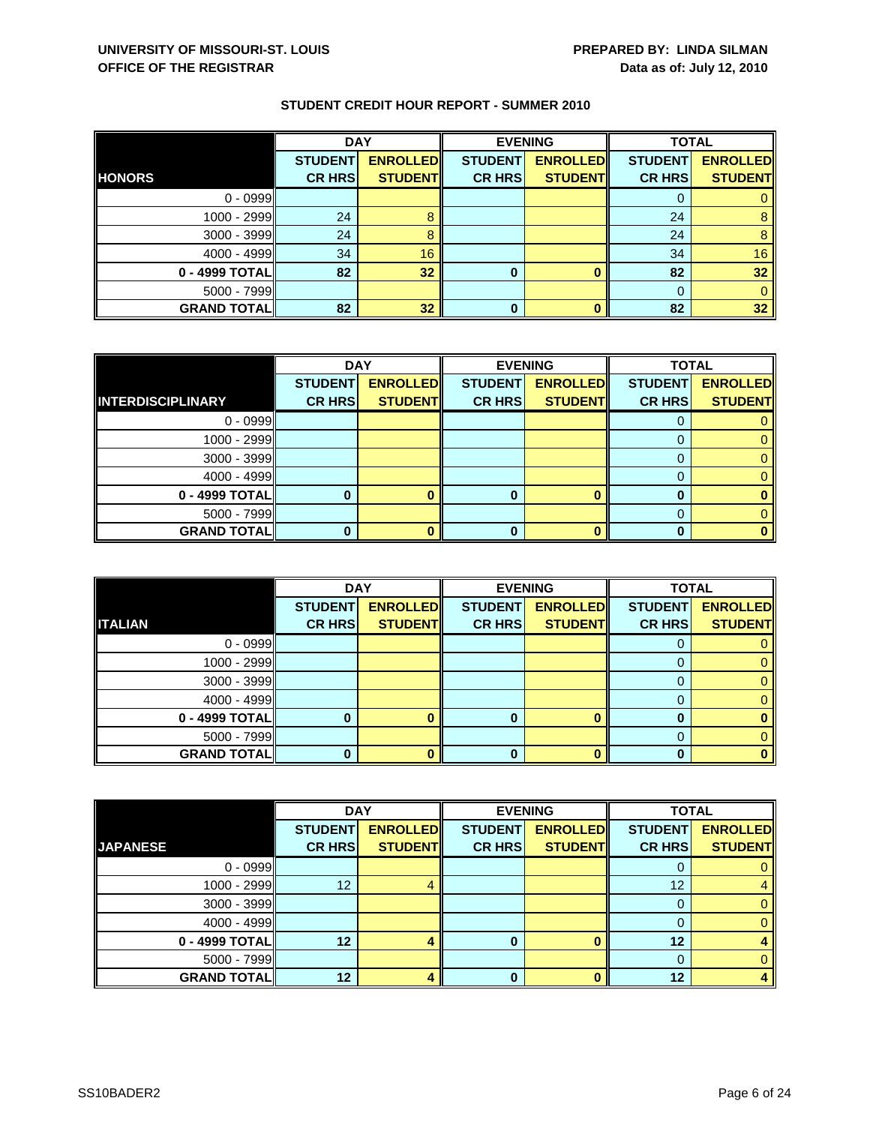|                    | <b>DAY</b>     |                 | <b>EVENING</b> |                 | <b>TOTAL</b>   |                 |
|--------------------|----------------|-----------------|----------------|-----------------|----------------|-----------------|
|                    | <b>STUDENT</b> | <b>ENROLLED</b> | <b>STUDENT</b> | <b>ENROLLED</b> | <b>STUDENT</b> | <b>ENROLLED</b> |
| <b>HONORS</b>      | <b>CR HRS</b>  | <b>STUDENT</b>  | <b>CR HRS</b>  | <b>STUDENT</b>  | <b>CR HRS</b>  | <b>STUDENT</b>  |
| $0 - 0999$         |                |                 |                |                 |                |                 |
| 1000 - 2999        | 24             |                 |                |                 | 24             |                 |
| 3000 - 3999        | 24             |                 |                |                 | 24             | 8               |
| $4000 - 4999$      | 34             | 16              |                |                 | 34             | 16              |
| 0 - 4999 TOTAL     | 82             | 32              | 0              |                 | 82             | 32              |
| $5000 - 7999$      |                |                 |                |                 |                |                 |
| <b>GRAND TOTAL</b> | 82             | 32              | $\bf{0}$       |                 | 82             | 32              |

|                          | <b>DAY</b>     |                 |                | <b>EVENING</b>  | <b>TOTAL</b>   |                 |
|--------------------------|----------------|-----------------|----------------|-----------------|----------------|-----------------|
|                          | <b>STUDENT</b> | <b>ENROLLED</b> | <b>STUDENT</b> | <b>ENROLLED</b> | <b>STUDENT</b> | <b>ENROLLED</b> |
| <b>INTERDISCIPLINARY</b> | <b>CR HRS</b>  | <b>STUDENT</b>  | <b>CR HRS</b>  | <b>STUDENT</b>  | <b>CR HRS</b>  | <b>STUDENT</b>  |
| $0 - 0999$               |                |                 |                |                 |                |                 |
| 1000 - 2999              |                |                 |                |                 |                |                 |
| $3000 - 3999$            |                |                 |                |                 |                |                 |
| $4000 - 4999$            |                |                 |                |                 |                |                 |
| 0 - 4999 TOTAL           |                |                 | o              |                 | O              |                 |
| $5000 - 7999$            |                |                 |                |                 |                |                 |
| <b>GRAND TOTAL</b>       |                |                 |                | ∩               |                |                 |

|                    | <b>DAY</b>     |                 |                | <b>EVENING</b>  | <b>TOTAL</b>   |                 |
|--------------------|----------------|-----------------|----------------|-----------------|----------------|-----------------|
|                    | <b>STUDENT</b> | <b>ENROLLED</b> | <b>STUDENT</b> | <b>ENROLLED</b> | <b>STUDENT</b> | <b>ENROLLED</b> |
| <b>ITALIAN</b>     | <b>CR HRS</b>  | <b>STUDENT</b>  | <b>CR HRS</b>  | <b>STUDENT</b>  | <b>CR HRS</b>  | <b>STUDENT</b>  |
| $0 - 0999$         |                |                 |                |                 | O              |                 |
| $1000 - 2999$      |                |                 |                |                 |                |                 |
| $3000 - 3999$      |                |                 |                |                 |                |                 |
| $4000 - 4999$      |                |                 |                |                 | 0              |                 |
| 0 - 4999 TOTAL     |                |                 |                |                 |                |                 |
| $5000 - 7999$      |                |                 |                |                 |                |                 |
| <b>GRAND TOTAL</b> |                |                 | 0              |                 | O              |                 |

|                    | <b>DAY</b>     |                 |                | <b>EVENING</b>  | <b>TOTAL</b>   |                 |
|--------------------|----------------|-----------------|----------------|-----------------|----------------|-----------------|
|                    | <b>STUDENT</b> | <b>ENROLLED</b> | <b>STUDENT</b> | <b>ENROLLED</b> | <b>STUDENT</b> | <b>ENROLLED</b> |
| <b>JAPANESE</b>    | <b>CR HRS</b>  | <b>STUDENT</b>  | <b>CR HRS</b>  | <b>STUDENT</b>  | <b>CR HRS</b>  | <b>STUDENT</b>  |
| $0 - 0999$         |                |                 |                |                 | O              |                 |
| $1000 - 2999$      | 12             | 4               |                |                 | 12             | 4               |
| $3000 - 3999$      |                |                 |                |                 | 0              | 0.              |
| $4000 - 4999$      |                |                 |                |                 |                | 0               |
| $0 - 4999$ TOTAL   | 12             |                 | 0              |                 | 12             |                 |
| $5000 - 7999$      |                |                 |                |                 | 0              | 0               |
| <b>GRAND TOTAL</b> | 12             |                 |                |                 | 12             |                 |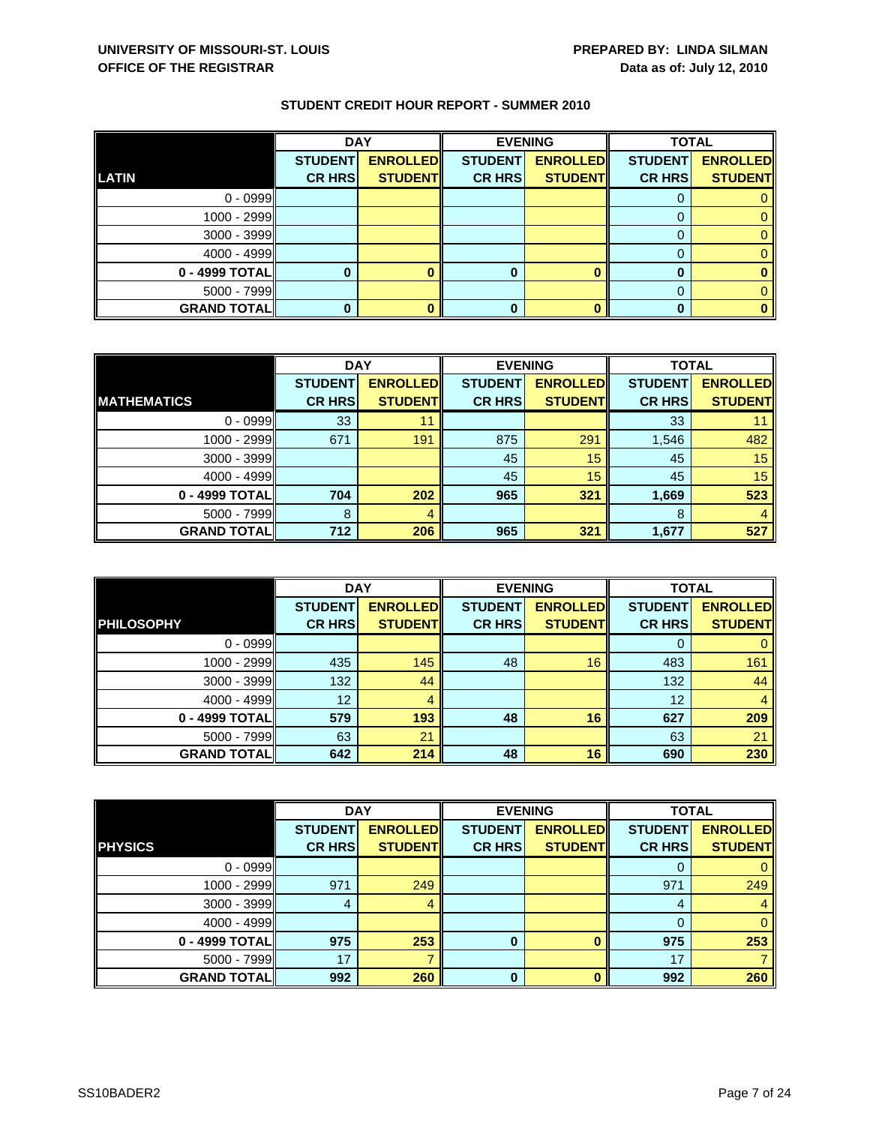|                    | <b>DAY</b>     |                 | <b>EVENING</b> |                 | <b>TOTAL</b>   |                 |
|--------------------|----------------|-----------------|----------------|-----------------|----------------|-----------------|
|                    | <b>STUDENT</b> | <b>ENROLLED</b> | <b>STUDENT</b> | <b>ENROLLED</b> | <b>STUDENT</b> | <b>ENROLLED</b> |
| <b>LATIN</b>       | <b>CR HRS</b>  | <b>STUDENT</b>  | <b>CR HRS</b>  | <b>STUDENT</b>  | <b>CR HRS</b>  | <b>STUDENT</b>  |
| $0 - 0999$         |                |                 |                |                 |                |                 |
| 1000 - 2999        |                |                 |                |                 |                |                 |
| 3000 - 3999        |                |                 |                |                 |                |                 |
| $4000 - 4999$      |                |                 |                |                 |                |                 |
| 0 - 4999 TOTAL     |                |                 | 0              |                 |                |                 |
| 5000 - 7999        |                |                 |                |                 |                |                 |
| <b>GRAND TOTAL</b> |                |                 |                |                 |                |                 |

|                    | <b>DAY</b>     |                 | <b>EVENING</b> |                 | <b>TOTAL</b>   |                 |
|--------------------|----------------|-----------------|----------------|-----------------|----------------|-----------------|
|                    | <b>STUDENT</b> | <b>ENROLLED</b> | <b>STUDENT</b> | <b>ENROLLED</b> | <b>STUDENT</b> | <b>ENROLLED</b> |
| <b>MATHEMATICS</b> | <b>CR HRS</b>  | <b>STUDENT</b>  | <b>CR HRS</b>  | <b>STUDENT</b>  | <b>CR HRS</b>  | <b>STUDENT</b>  |
| $0 - 0999$         | 33             | 11              |                |                 | 33             |                 |
| $1000 - 2999$      | 671            | 191             | 875            | 291             | 1,546          | 482             |
| $3000 - 3999$      |                |                 | 45             | 15              | 45             | 15              |
| $4000 - 4999$      |                |                 | 45             | 15              | 45             | 15              |
| 0 - 4999 TOTAL     | 704            | 202             | 965            | 321             | 1,669          | 523             |
| $5000 - 7999$      | 8              | 4               |                |                 | 8              |                 |
| <b>GRAND TOTAL</b> | 712            | 206             | 965            | 321             | 1,677          | 527             |

|                    | <b>DAY</b>                      |                                    |                                 | <b>EVENING</b>                     | <b>TOTAL</b>                    |                                   |
|--------------------|---------------------------------|------------------------------------|---------------------------------|------------------------------------|---------------------------------|-----------------------------------|
| <b>PHILOSOPHY</b>  | <b>STUDENT</b><br><b>CR HRS</b> | <b>ENROLLED</b><br><b>STUDENTI</b> | <b>STUDENT</b><br><b>CR HRS</b> | <b>ENROLLED</b><br><b>STUDENTI</b> | <b>STUDENT</b><br><b>CR HRS</b> | <b>ENROLLED</b><br><b>STUDENT</b> |
|                    |                                 |                                    |                                 |                                    |                                 |                                   |
| $0 - 0999$         |                                 |                                    |                                 |                                    | $\Omega$                        |                                   |
| 1000 - 2999        | 435                             | 145                                | 48                              | 16                                 | 483                             | 161                               |
| 3000 - 3999        | 132                             | 44                                 |                                 |                                    | 132                             | 44                                |
| $4000 - 4999$      | 12                              | 4                                  |                                 |                                    | 12                              |                                   |
| 0 - 4999 TOTAL     | 579                             | 193                                | 48                              | 16                                 | 627                             | 209                               |
| $5000 - 7999$      | 63                              | 21                                 |                                 |                                    | 63                              | 21                                |
| <b>GRAND TOTAL</b> | 642                             | 214                                | 48                              | 16                                 | 690                             | 230                               |

|                    | <b>DAY</b>     |                 |                | <b>EVENING</b>  | <b>TOTAL</b>   |                 |
|--------------------|----------------|-----------------|----------------|-----------------|----------------|-----------------|
|                    | <b>STUDENT</b> | <b>ENROLLED</b> | <b>STUDENT</b> | <b>ENROLLED</b> | <b>STUDENT</b> | <b>ENROLLED</b> |
| <b>PHYSICS</b>     | <b>CR HRS</b>  | <b>STUDENT</b>  | <b>CR HRS</b>  | <b>STUDENT</b>  | <b>CR HRS</b>  | <b>STUDENT</b>  |
| $0 - 0999$         |                |                 |                |                 |                | 0               |
| 1000 - 2999        | 971            | 249             |                |                 | 971            | 249             |
| $3000 - 3999$      | 4              | 4               |                |                 | 4              | 4               |
| $4000 - 4999$      |                |                 |                |                 |                | $\mathbf{0}$    |
| 0 - 4999 TOTAL     | 975            | 253             | 0              |                 | 975            | 253             |
| $5000 - 7999$      | 17             |                 |                |                 | 17             |                 |
| <b>GRAND TOTAL</b> | 992            | 260             | 0              |                 | 992            | 260             |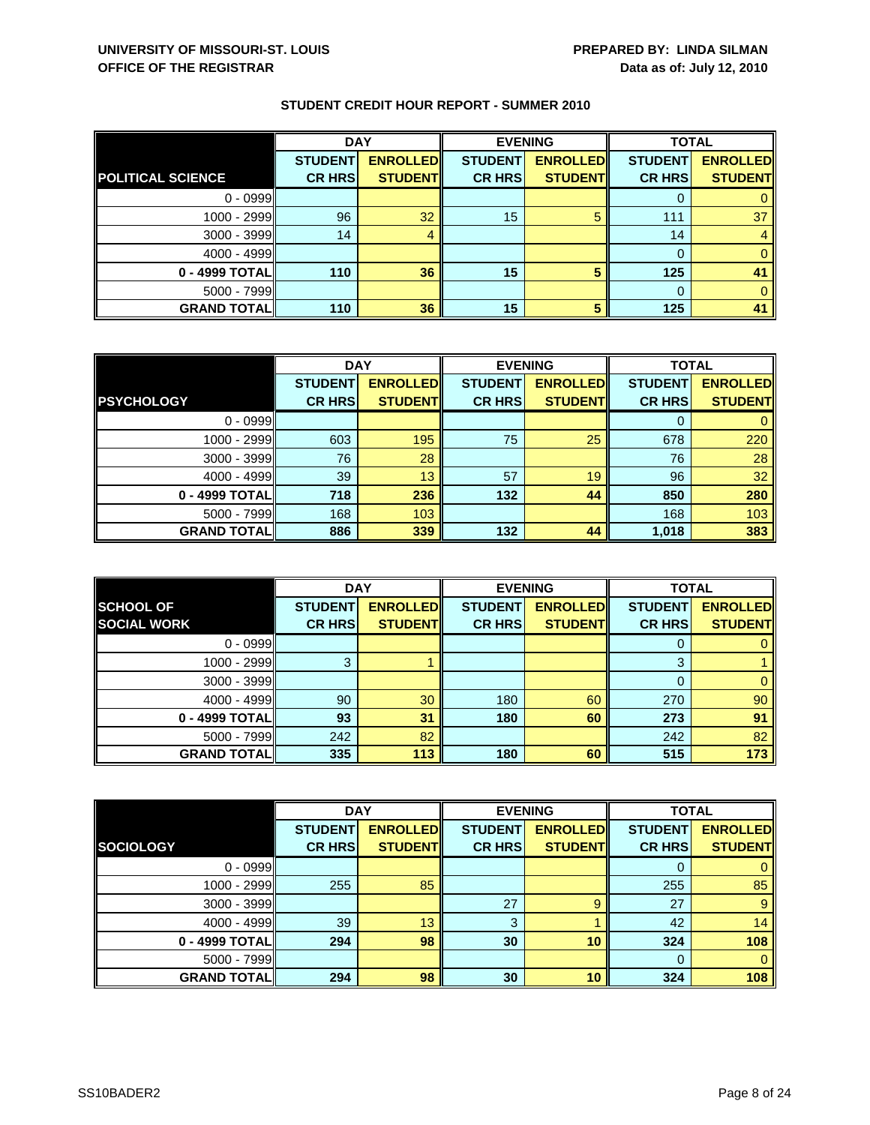|                          | <b>DAY</b>     |                 | <b>EVENING</b> |                 | <b>TOTAL</b>   |                 |
|--------------------------|----------------|-----------------|----------------|-----------------|----------------|-----------------|
|                          | <b>STUDENT</b> | <b>ENROLLED</b> | <b>STUDENT</b> | <b>ENROLLED</b> | <b>STUDENT</b> | <b>ENROLLED</b> |
| <b>POLITICAL SCIENCE</b> | <b>CR HRS</b>  | <b>STUDENT</b>  | <b>CR HRS</b>  | <b>STUDENT</b>  | <b>CR HRS</b>  | <b>STUDENT</b>  |
| $0 - 0999$               |                |                 |                |                 |                |                 |
| $1000 - 2999$            | 96             | 32              | 15             | 5               | 111            | 37              |
| 3000 - 3999              | 14             | 4               |                |                 | 14             |                 |
| $4000 - 4999$            |                |                 |                |                 |                |                 |
| 0 - 4999 TOTAL           | 110            | 36              | 15             |                 | 125            | 41              |
| $5000 - 7999$            |                |                 |                |                 | $\Omega$       |                 |
| <b>GRAND TOTAL</b>       | 110            | 36              | 15             | 5               | 125            | 41              |

|                    | <b>DAY</b>     |                 | <b>EVENING</b> |                 | <b>TOTAL</b>   |                 |
|--------------------|----------------|-----------------|----------------|-----------------|----------------|-----------------|
|                    | <b>STUDENT</b> | <b>ENROLLED</b> | <b>STUDENT</b> | <b>ENROLLED</b> | <b>STUDENT</b> | <b>ENROLLED</b> |
| <b>PSYCHOLOGY</b>  | <b>CR HRS</b>  | <b>STUDENT</b>  | <b>CR HRS</b>  | <b>STUDENT</b>  | <b>CR HRS</b>  | <b>STUDENT</b>  |
| $0 - 0999$         |                |                 |                |                 |                |                 |
| 1000 - 2999        | 603            | 195             | 75             | 25              | 678            | 220             |
| $3000 - 3999$      | 76             | 28              |                |                 | 76             | 28              |
| $4000 - 4999$      | 39             | 13              | 57             | 19              | 96             | 32              |
| 0 - 4999 TOTAL     | 718            | 236             | 132            | 44              | 850            | 280             |
| $5000 - 7999$      | 168            | 103             |                |                 | 168            | 103             |
| <b>GRAND TOTAL</b> | 886            | 339             | 132            | 44              | 1,018          | 383             |

|                                        | <b>DAY</b>                      |                                   |                                 | <b>EVENING</b>                    | <b>TOTAL</b>                    |                                   |
|----------------------------------------|---------------------------------|-----------------------------------|---------------------------------|-----------------------------------|---------------------------------|-----------------------------------|
| <b>SCHOOL OF</b><br><b>SOCIAL WORK</b> | <b>STUDENT</b><br><b>CR HRS</b> | <b>ENROLLED</b><br><b>STUDENT</b> | <b>STUDENT</b><br><b>CR HRS</b> | <b>ENROLLED</b><br><b>STUDENT</b> | <b>STUDENT</b><br><b>CR HRS</b> | <b>ENROLLED</b><br><b>STUDENT</b> |
|                                        |                                 |                                   |                                 |                                   |                                 |                                   |
| $0 - 0999$                             |                                 |                                   |                                 |                                   | O                               |                                   |
| 1000 - 2999                            |                                 |                                   |                                 |                                   | 3                               |                                   |
| $3000 - 3999$                          |                                 |                                   |                                 |                                   |                                 |                                   |
| $4000 - 4999$                          | 90                              | 30                                | 180                             | 60                                | 270                             | 90                                |
| 0 - 4999 TOTAL                         | 93                              | 31                                | 180                             | 60                                | 273                             | 91                                |
| $5000 - 7999$                          | 242                             | 82                                |                                 |                                   | 242                             | 82                                |
| <b>GRAND TOTALI</b>                    | 335                             | 113                               | 180                             | 60                                | 515                             | 173                               |

|                    | <b>DAY</b>     |                 | <b>EVENING</b> |                 | <b>TOTAL</b>   |                 |
|--------------------|----------------|-----------------|----------------|-----------------|----------------|-----------------|
|                    | <b>STUDENT</b> | <b>ENROLLED</b> | <b>STUDENT</b> | <b>ENROLLED</b> | <b>STUDENT</b> | <b>ENROLLED</b> |
| <b>SOCIOLOGY</b>   | <b>CR HRS</b>  | <b>STUDENT</b>  | <b>CR HRS</b>  | <b>STUDENT</b>  | <b>CR HRS</b>  | <b>STUDENT</b>  |
| $0 - 0999$         |                |                 |                |                 | 0              | $\mathbf{0}$    |
| 1000 - 2999        | 255            | 85              |                |                 | 255            | 85              |
| 3000 - 3999        |                |                 | 27             | 9               | 27             | 9               |
| 4000 - 4999        | 39             | 13              | 3              |                 | 42             | 14              |
| 0 - 4999 TOTAL     | 294            | 98              | 30             | 10              | 324            | 108             |
| $5000 - 7999$      |                |                 |                |                 | $\Omega$       | $\mathbf{0}$    |
| <b>GRAND TOTAL</b> | 294            | 98              | 30             | 10              | 324            | 108             |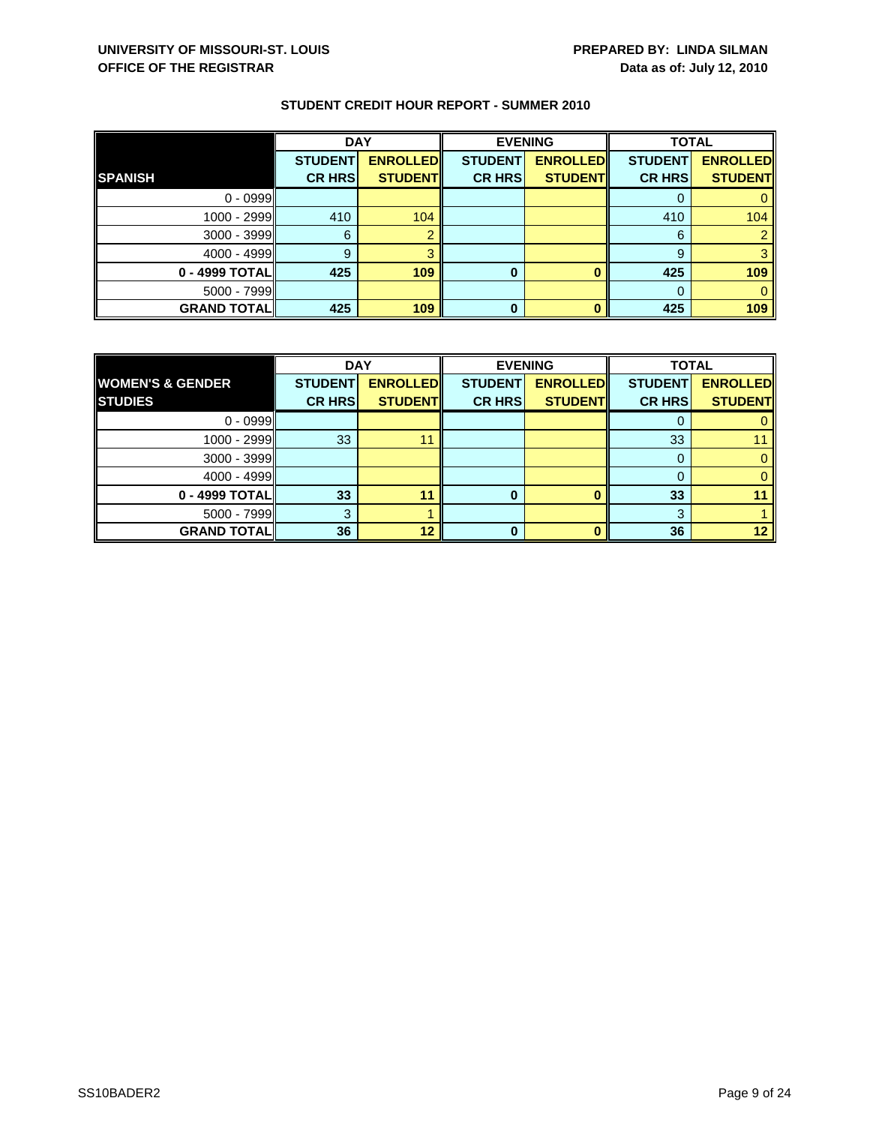|                    | <b>DAY</b>     |                 | <b>EVENING</b> |                 | <b>TOTAL</b>   |                 |
|--------------------|----------------|-----------------|----------------|-----------------|----------------|-----------------|
|                    | <b>STUDENT</b> | <b>ENROLLED</b> | <b>STUDENT</b> | <b>ENROLLED</b> | <b>STUDENT</b> | <b>ENROLLED</b> |
| <b>SPANISH</b>     | <b>CR HRS</b>  | <b>STUDENT</b>  | <b>CR HRS</b>  | <b>STUDENT</b>  | <b>CR HRS</b>  | <b>STUDENT</b>  |
| $0 - 0999$         |                |                 |                |                 |                |                 |
| 1000 - 2999        | 410            | 104             |                |                 | 410            | 104             |
| 3000 - 3999        | 6              |                 |                |                 | 6              |                 |
| $4000 - 4999$      | 9              |                 |                |                 | 9              |                 |
| $0 - 4999$ TOTAL   | 425            | 109             | 0              |                 | 425            | 109             |
| $5000 - 7999$      |                |                 |                |                 |                |                 |
| <b>GRAND TOTAL</b> | 425            | 109             | 0              |                 | 425            | 109             |

|                             | <b>DAY</b>     |                 | <b>EVENING</b> |                 | <b>TOTAL</b>   |                 |
|-----------------------------|----------------|-----------------|----------------|-----------------|----------------|-----------------|
| <b>WOMEN'S &amp; GENDER</b> | <b>STUDENT</b> | <b>ENROLLED</b> | <b>STUDENT</b> | <b>ENROLLED</b> | <b>STUDENT</b> | <b>ENROLLED</b> |
| <b>STUDIES</b>              | <b>CR HRS</b>  | <b>STUDENT</b>  | <b>CR HRS</b>  | <b>STUDENT</b>  | <b>CR HRS</b>  | <b>STUDENT</b>  |
| $0 - 0999$                  |                |                 |                |                 |                |                 |
| $1000 - 2999$               | 33             | 11              |                |                 | 33             |                 |
| $3000 - 3999$               |                |                 |                |                 |                |                 |
| $4000 - 4999$               |                |                 |                |                 |                |                 |
| $0 - 4999$ TOTAL            | 33             | 11              | 0              |                 | 33             |                 |
| $5000 - 7999$               | 3              |                 |                |                 | 0              |                 |
| <b>GRAND TOTAL</b>          | 36             | 12              | U              |                 | 36             | 12              |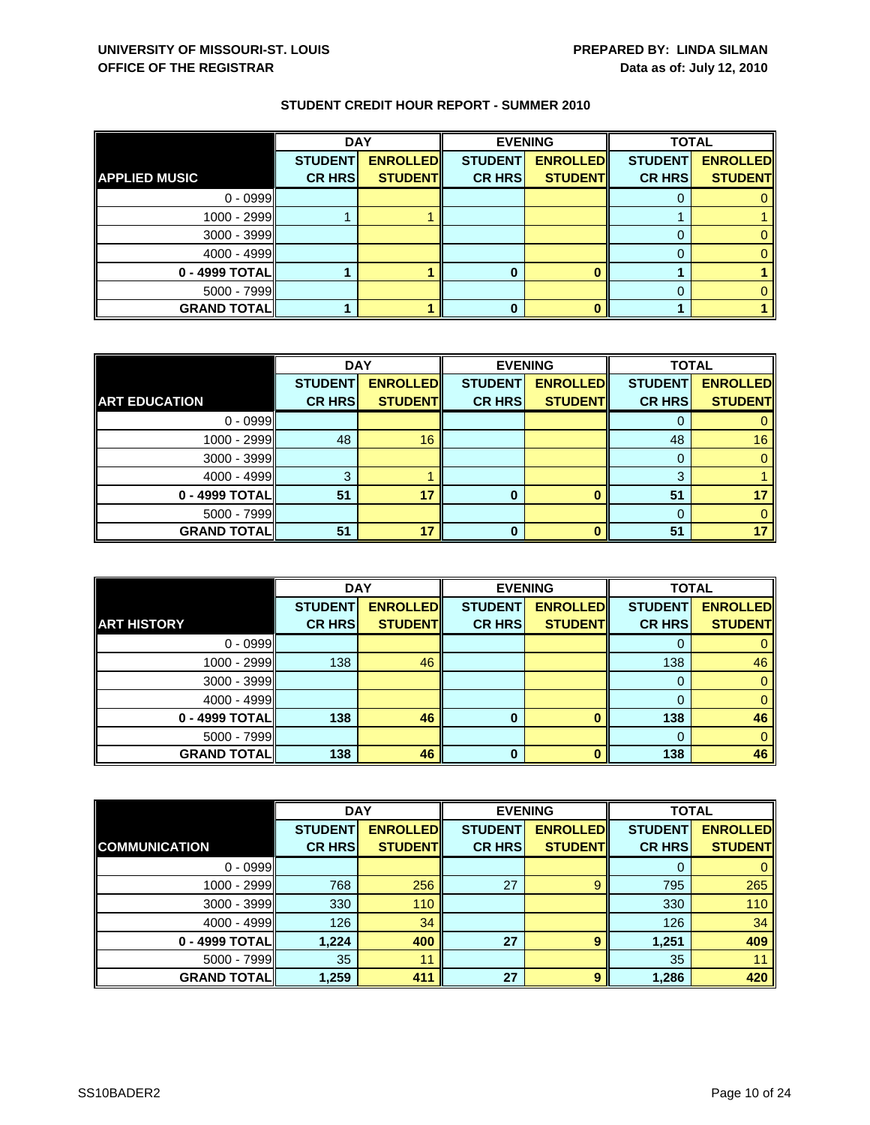|                      | <b>DAY</b>     |                 | <b>EVENING</b> |                 | <b>TOTAL</b>   |                 |
|----------------------|----------------|-----------------|----------------|-----------------|----------------|-----------------|
|                      | <b>STUDENT</b> | <b>ENROLLED</b> | <b>STUDENT</b> | <b>ENROLLED</b> | <b>STUDENT</b> | <b>ENROLLED</b> |
| <b>APPLIED MUSIC</b> | <b>CR HRS</b>  | <b>STUDENT</b>  | <b>CR HRS</b>  | <b>STUDENT</b>  | <b>CR HRS</b>  | <b>STUDENT</b>  |
| $0 - 0999$           |                |                 |                |                 |                |                 |
| 1000 - 2999          |                |                 |                |                 |                |                 |
| 3000 - 3999          |                |                 |                |                 |                |                 |
| $4000 - 4999$        |                |                 |                |                 |                |                 |
| 0 - 4999 TOTAL       |                |                 |                |                 |                |                 |
| 5000 - 7999          |                |                 |                |                 |                |                 |
| <b>GRAND TOTAL</b>   |                |                 |                |                 |                |                 |

|                      | <b>DAY</b>     |                 | <b>EVENING</b> |                 | <b>TOTAL</b>   |                 |
|----------------------|----------------|-----------------|----------------|-----------------|----------------|-----------------|
|                      | <b>STUDENT</b> | <b>ENROLLED</b> | <b>STUDENT</b> | <b>ENROLLED</b> | <b>STUDENT</b> | <b>ENROLLED</b> |
| <b>ART EDUCATION</b> | <b>CR HRS</b>  | <b>STUDENT</b>  | <b>CR HRS</b>  | <b>STUDENT</b>  | <b>CR HRS</b>  | <b>STUDENT</b>  |
| $0 - 0999$           |                |                 |                |                 |                |                 |
| 1000 - 2999          | 48             | 16              |                |                 | 48             | 16              |
| $3000 - 3999$        |                |                 |                |                 |                |                 |
| $4000 - 4999$        | 3              |                 |                |                 | 3              |                 |
| 0 - 4999 TOTAL       | 51             | 17              |                |                 | 51             |                 |
| $5000 - 7999$        |                |                 |                |                 |                |                 |
| <b>GRAND TOTAL</b>   | 51             | 17              |                | $\mathbf{a}$    | 51             |                 |

|                    | <b>DAY</b>                      |                                   |                                 | <b>EVENING</b>                    | <b>TOTAL</b>                    |                                   |
|--------------------|---------------------------------|-----------------------------------|---------------------------------|-----------------------------------|---------------------------------|-----------------------------------|
| <b>ART HISTORY</b> | <b>STUDENT</b><br><b>CR HRS</b> | <b>ENROLLED</b><br><b>STUDENT</b> | <b>STUDENT</b><br><b>CR HRS</b> | <b>ENROLLED</b><br><b>STUDENT</b> | <b>STUDENT</b><br><b>CR HRS</b> | <b>ENROLLED</b><br><b>STUDENT</b> |
|                    |                                 |                                   |                                 |                                   |                                 |                                   |
| $0 - 0999$         |                                 |                                   |                                 |                                   | O                               |                                   |
| 1000 - 2999        | 138                             | 46                                |                                 |                                   | 138                             | 46                                |
| $3000 - 3999$      |                                 |                                   |                                 |                                   | 0                               | 0                                 |
| $4000 - 4999$      |                                 |                                   |                                 |                                   | $\Omega$                        |                                   |
| 0 - 4999 TOTAL     | 138                             | 46                                | 0                               | n                                 | 138                             | 46                                |
| $5000 - 7999$      |                                 |                                   |                                 |                                   | $\Omega$                        | 0                                 |
| <b>GRAND TOTAL</b> | 138                             | 46                                | 0                               |                                   | 138                             | 46                                |

|                      | <b>DAY</b>     |                 |                | <b>EVENING</b>  |                | <b>TOTAL</b>    |  |
|----------------------|----------------|-----------------|----------------|-----------------|----------------|-----------------|--|
|                      | <b>STUDENT</b> | <b>ENROLLED</b> | <b>STUDENT</b> | <b>ENROLLED</b> | <b>STUDENT</b> | <b>ENROLLED</b> |  |
| <b>COMMUNICATION</b> | <b>CR HRS</b>  | <b>STUDENT</b>  | <b>CR HRS</b>  | <b>STUDENT</b>  | <b>CR HRS</b>  | <b>STUDENT</b>  |  |
| $0 - 0999$           |                |                 |                |                 | O              | 0               |  |
| 1000 - 2999          | 768            | 256             | 27             | 9               | 795            | 265             |  |
| $3000 - 3999$        | 330            | 110             |                |                 | 330            | 110             |  |
| $4000 - 4999$        | 126            | 34              |                |                 | 126            | 34              |  |
| 0 - 4999 TOTAL       | 1,224          | 400             | 27             | 9               | 1,251          | 409             |  |
| $5000 - 7999$        | 35             | 11              |                |                 | 35             | 11              |  |
| <b>GRAND TOTAL</b>   | 1,259          | 411             | 27             | 9               | 1,286          | 420             |  |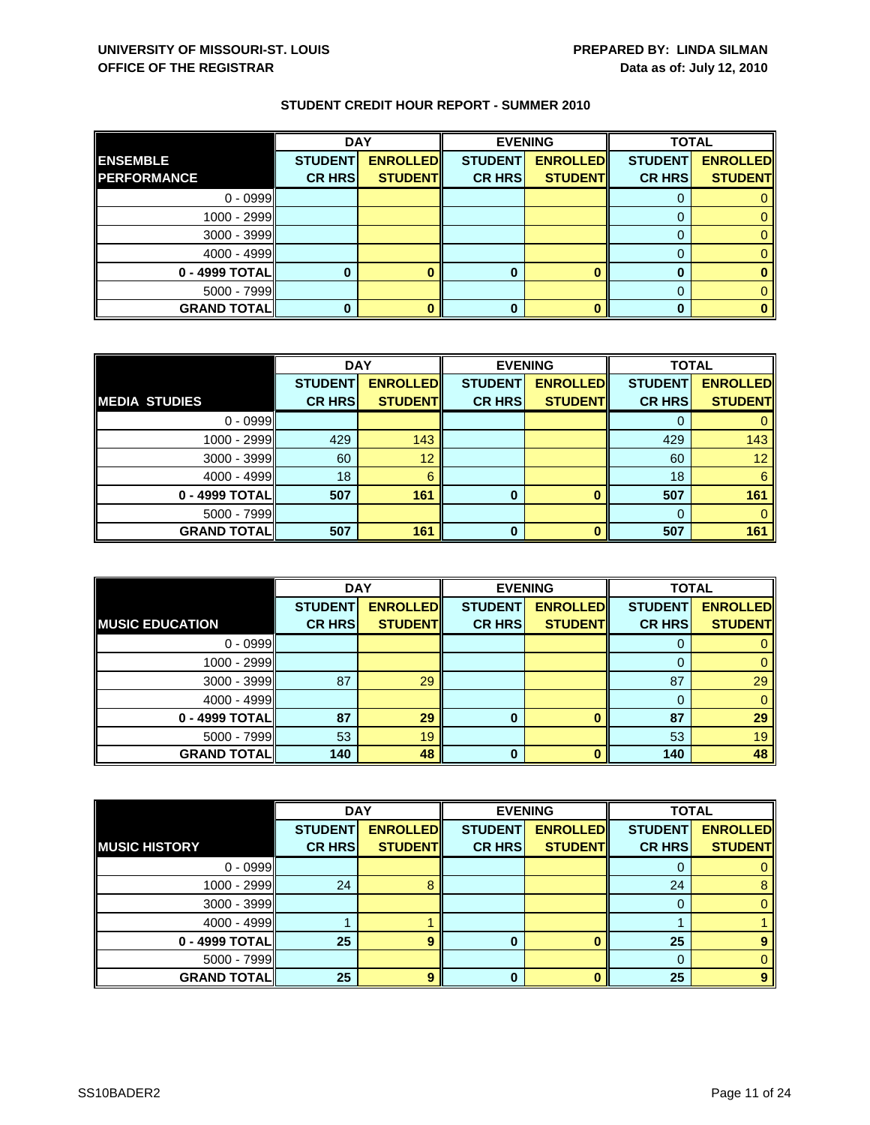|                    | <b>DAY</b>     |                 |                | <b>EVENING</b>  | <b>TOTAL</b>   |                 |
|--------------------|----------------|-----------------|----------------|-----------------|----------------|-----------------|
| <b>ENSEMBLE</b>    | <b>STUDENT</b> | <b>ENROLLED</b> | <b>STUDENT</b> | <b>ENROLLED</b> | <b>STUDENT</b> | <b>ENROLLED</b> |
| <b>PERFORMANCE</b> | <b>CR HRS</b>  | <b>STUDENT</b>  | <b>CR HRS</b>  | <b>STUDENT</b>  | <b>CR HRS</b>  | <b>STUDENT</b>  |
| $0 - 0999$         |                |                 |                |                 |                |                 |
| 1000 - 2999        |                |                 |                |                 |                |                 |
| 3000 - 3999        |                |                 |                |                 |                |                 |
| $4000 - 4999$      |                |                 |                |                 |                |                 |
| 0 - 4999 TOTAL     |                |                 |                |                 |                |                 |
| $5000 - 7999$      |                |                 |                |                 |                |                 |
| <b>GRAND TOTAL</b> |                |                 |                |                 |                |                 |

|                      | <b>DAY</b>     |                  | <b>EVENING</b> |                 | <b>TOTAL</b>   |                 |
|----------------------|----------------|------------------|----------------|-----------------|----------------|-----------------|
|                      | <b>STUDENT</b> | <b>ENROLLEDI</b> | <b>STUDENT</b> | <b>ENROLLED</b> | <b>STUDENT</b> | <b>ENROLLED</b> |
| <b>MEDIA STUDIES</b> | <b>CR HRS</b>  | <b>STUDENT</b>   | <b>CR HRS</b>  | <b>STUDENT</b>  | <b>CR HRS</b>  | <b>STUDENT</b>  |
| $0 - 0999$           |                |                  |                |                 |                |                 |
| $1000 - 2999$        | 429            | 143              |                |                 | 429            | 143             |
| $3000 - 3999$        | 60             | 12               |                |                 | 60             | 12 <sup>1</sup> |
| $4000 - 4999$        | 18             | 6                |                |                 | 18             | 6               |
| 0 - 4999 TOTAL       | 507            | 161              | 0              |                 | 507            | 161             |
| $5000 - 7999$        |                |                  |                |                 |                |                 |
| <b>GRAND TOTAL</b>   | 507            | 161              | O              |                 | 507            | 161             |

|                        | <b>DAY</b>                      |                                   |                                 | <b>EVENING</b>                    | <b>TOTAL</b>                    |                                   |
|------------------------|---------------------------------|-----------------------------------|---------------------------------|-----------------------------------|---------------------------------|-----------------------------------|
| <b>MUSIC EDUCATION</b> | <b>STUDENT</b><br><b>CR HRS</b> | <b>ENROLLED</b><br><b>STUDENT</b> | <b>STUDENT</b><br><b>CR HRS</b> | <b>ENROLLED</b><br><b>STUDENT</b> | <b>STUDENT</b><br><b>CR HRS</b> | <b>ENROLLED</b><br><b>STUDENT</b> |
|                        |                                 |                                   |                                 |                                   |                                 |                                   |
| $0 - 0999$             |                                 |                                   |                                 |                                   | O                               |                                   |
| 1000 - 2999            |                                 |                                   |                                 |                                   |                                 |                                   |
| $3000 - 3999$          | 87                              | 29                                |                                 |                                   | 87                              | 29                                |
| $4000 - 4999$          |                                 |                                   |                                 |                                   | 0                               |                                   |
| 0 - 4999 TOTAL         | 87                              | 29                                | 0                               | O                                 | 87                              | 29                                |
| $5000 - 7999$          | 53                              | 19                                |                                 |                                   | 53                              | 19                                |
| <b>GRAND TOTALI</b>    | 140                             | 48                                | 0                               |                                   | 140                             | 48                                |

|                      | <b>DAY</b>     |                 |                | <b>EVENING</b>  | <b>TOTAL</b>   |                 |
|----------------------|----------------|-----------------|----------------|-----------------|----------------|-----------------|
|                      | <b>STUDENT</b> | <b>ENROLLED</b> | <b>STUDENT</b> | <b>ENROLLED</b> | <b>STUDENT</b> | <b>ENROLLED</b> |
| <b>MUSIC HISTORY</b> | <b>CR HRS</b>  | <b>STUDENT</b>  | <b>CR HRS</b>  | <b>STUDENT</b>  | <b>CR HRS</b>  | <b>STUDENT</b>  |
| $0 - 0999$           |                |                 |                |                 | 0              |                 |
| 1000 - 2999          | 24             |                 |                |                 | 24             | 8               |
| 3000 - 3999          |                |                 |                |                 | $\Omega$       | 0               |
| $4000 - 4999$        |                |                 |                |                 |                |                 |
| 0 - 4999 TOTAL       | 25             | 9               | 0              |                 | 25             | 9               |
| $5000 - 7999$        |                |                 |                |                 | $\Omega$       | 0               |
| <b>GRAND TOTAL</b>   | 25             | q               | ŋ              |                 | 25             | 9               |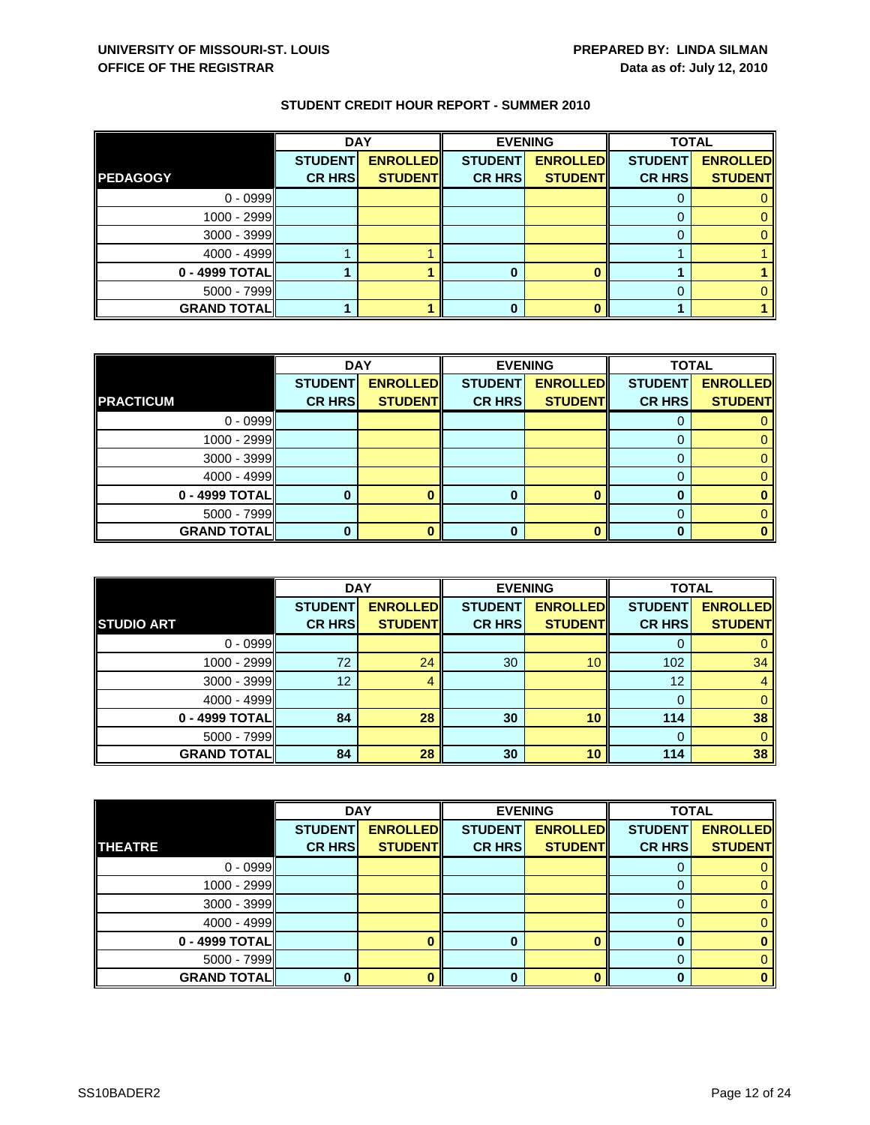|                    | <b>DAY</b>     |                 |                | <b>EVENING</b>  | <b>TOTAL</b>   |                 |
|--------------------|----------------|-----------------|----------------|-----------------|----------------|-----------------|
|                    | <b>STUDENT</b> | <b>ENROLLED</b> | <b>STUDENT</b> | <b>ENROLLED</b> | <b>STUDENT</b> | <b>ENROLLED</b> |
| <b>PEDAGOGY</b>    | <b>CR HRS</b>  | <b>STUDENT</b>  | <b>CR HRS</b>  | <b>STUDENT</b>  | <b>CR HRS</b>  | <b>STUDENT</b>  |
| $0 - 0999$         |                |                 |                |                 |                |                 |
| 1000 - 2999        |                |                 |                |                 |                |                 |
| 3000 - 3999        |                |                 |                |                 |                |                 |
| $4000 - 4999$      |                |                 |                |                 |                |                 |
| 0 - 4999 TOTAL     |                |                 |                |                 |                |                 |
| $5000 - 7999$      |                |                 |                |                 |                |                 |
| <b>GRAND TOTAL</b> |                |                 |                |                 |                |                 |

|                    | <b>DAY</b>     |                 | <b>EVENING</b> |                 | <b>TOTAL</b>   |                 |
|--------------------|----------------|-----------------|----------------|-----------------|----------------|-----------------|
|                    | <b>STUDENT</b> | <b>ENROLLED</b> | <b>STUDENT</b> | <b>ENROLLED</b> | <b>STUDENT</b> | <b>ENROLLED</b> |
| <b>PRACTICUM</b>   | <b>CR HRS</b>  | <b>STUDENT</b>  | <b>CR HRS</b>  | <b>STUDENT</b>  | <b>CR HRS</b>  | <b>STUDENT</b>  |
| $0 - 0999$         |                |                 |                |                 |                |                 |
| 1000 - 2999        |                |                 |                |                 | $\mathbf{O}$   |                 |
| $3000 - 3999$      |                |                 |                |                 |                |                 |
| $4000 - 4999$      |                |                 |                |                 |                |                 |
| 0 - 4999 TOTAL     |                |                 |                |                 | O              |                 |
| $5000 - 7999$      |                |                 |                |                 |                |                 |
| <b>GRAND TOTAL</b> |                |                 |                | ŋ               |                |                 |

|                     | <b>DAY</b>                      |                                   | <b>EVENING</b>                  |                                   | <b>TOTAL</b>                    |                                   |
|---------------------|---------------------------------|-----------------------------------|---------------------------------|-----------------------------------|---------------------------------|-----------------------------------|
| <b>STUDIO ART</b>   | <b>STUDENT</b><br><b>CR HRS</b> | <b>ENROLLED</b><br><b>STUDENT</b> | <b>STUDENT</b><br><b>CR HRS</b> | <b>ENROLLED</b><br><b>STUDENT</b> | <b>STUDENT</b><br><b>CR HRS</b> | <b>ENROLLED</b><br><b>STUDENT</b> |
| $0 - 0999$          |                                 |                                   |                                 |                                   | O                               |                                   |
| $1000 - 2999$       | 72                              | 24                                | 30                              | 10                                | 102                             | 34                                |
| $3000 - 3999$       | 12                              | 4                                 |                                 |                                   | 12                              |                                   |
| $4000 - 4999$       |                                 |                                   |                                 |                                   | $\Omega$                        |                                   |
| 0 - 4999 TOTAL      | 84                              | 28                                | 30                              | 10                                | 114                             | 38                                |
| $5000 - 7999$       |                                 |                                   |                                 |                                   | $\Omega$                        | 0                                 |
| <b>GRAND TOTALI</b> | 84                              | 28                                | 30                              | 10                                | 114                             | 38                                |

|                    | <b>DAY</b>     |                 |                | <b>EVENING</b>  | <b>TOTAL</b>   |                 |
|--------------------|----------------|-----------------|----------------|-----------------|----------------|-----------------|
|                    | <b>STUDENT</b> | <b>ENROLLED</b> | <b>STUDENT</b> | <b>ENROLLED</b> | <b>STUDENT</b> | <b>ENROLLED</b> |
| <b>THEATRE</b>     | <b>CR HRS</b>  | <b>STUDENT</b>  | <b>CR HRS</b>  | <b>STUDENT</b>  | <b>CR HRS</b>  | <b>STUDENT</b>  |
| $0 - 0999$         |                |                 |                |                 |                |                 |
| $1000 - 2999$      |                |                 |                |                 |                | 0               |
| $3000 - 3999$      |                |                 |                |                 | O              | 0.              |
| $4000 - 4999$      |                |                 |                |                 |                |                 |
| $0 - 4999$ TOTAL   |                |                 |                |                 |                |                 |
| $5000 - 7999$      |                |                 |                |                 | 0              |                 |
| <b>GRAND TOTAL</b> |                |                 |                |                 | n              | o               |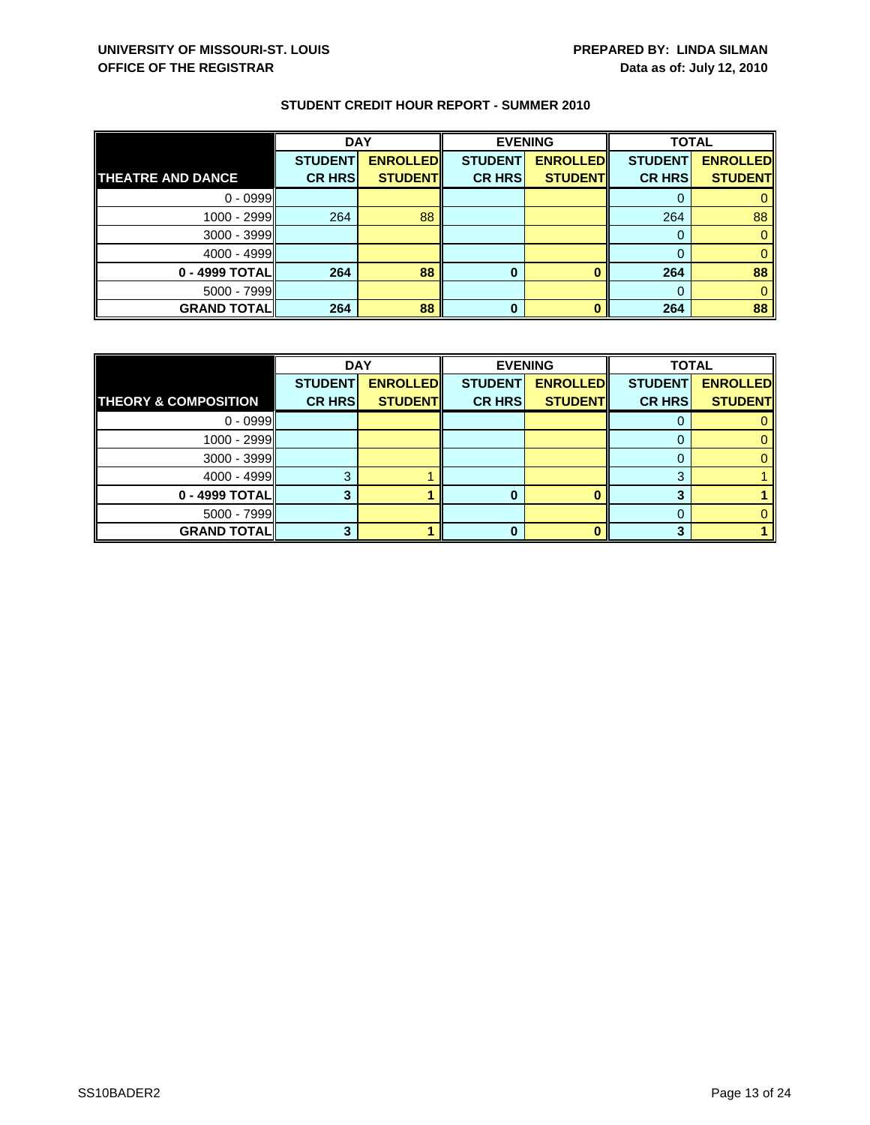|                          | <b>DAY</b>     |                 |                | <b>EVENING</b>  | <b>TOTAL</b>   |                 |
|--------------------------|----------------|-----------------|----------------|-----------------|----------------|-----------------|
|                          | <b>STUDENT</b> | <b>ENROLLED</b> | <b>STUDENT</b> | <b>ENROLLED</b> | <b>STUDENT</b> | <b>ENROLLED</b> |
| <b>THEATRE AND DANCE</b> | <b>CR HRS</b>  | <b>STUDENT</b>  | <b>CR HRS</b>  | <b>STUDENT</b>  | <b>CR HRS</b>  | <b>STUDENT</b>  |
| $0 - 0999$               |                |                 |                |                 |                |                 |
| $1000 - 2999$            | 264            | 88              |                |                 | 264            | 88              |
| $3000 - 3999$            |                |                 |                |                 |                |                 |
| $4000 - 4999$            |                |                 |                |                 |                |                 |
| 0 - 4999 TOTAL           | 264            | 88              | 0              |                 | 264            | 88              |
| $5000 - 7999$            |                |                 |                |                 |                |                 |
| <b>GRAND TOTAL</b>       | 264            | 88              | 0              |                 | 264            | 88              |

|                                 | <b>DAY</b>     |                 | <b>EVENING</b> |                 | <b>TOTAL</b>   |                 |
|---------------------------------|----------------|-----------------|----------------|-----------------|----------------|-----------------|
|                                 | <b>STUDENT</b> | <b>ENROLLED</b> | <b>STUDENT</b> | <b>ENROLLED</b> | <b>STUDENT</b> | <b>ENROLLED</b> |
| <b>THEORY &amp; COMPOSITION</b> | <b>CR HRS</b>  | <b>STUDENT</b>  | <b>CR HRS</b>  | <b>STUDENT</b>  | <b>CR HRS</b>  | <b>STUDENT</b>  |
| $0 - 0999$                      |                |                 |                |                 |                |                 |
| $1000 - 2999$                   |                |                 |                |                 |                |                 |
| $3000 - 3999$                   |                |                 |                |                 |                |                 |
| $4000 - 4999$                   | ≏              |                 |                |                 | 3              |                 |
| 0 - 4999 TOTAL                  |                |                 |                |                 |                |                 |
| $5000 - 7999$                   |                |                 |                |                 |                |                 |
| <b>GRAND TOTAL</b>              |                |                 |                |                 |                |                 |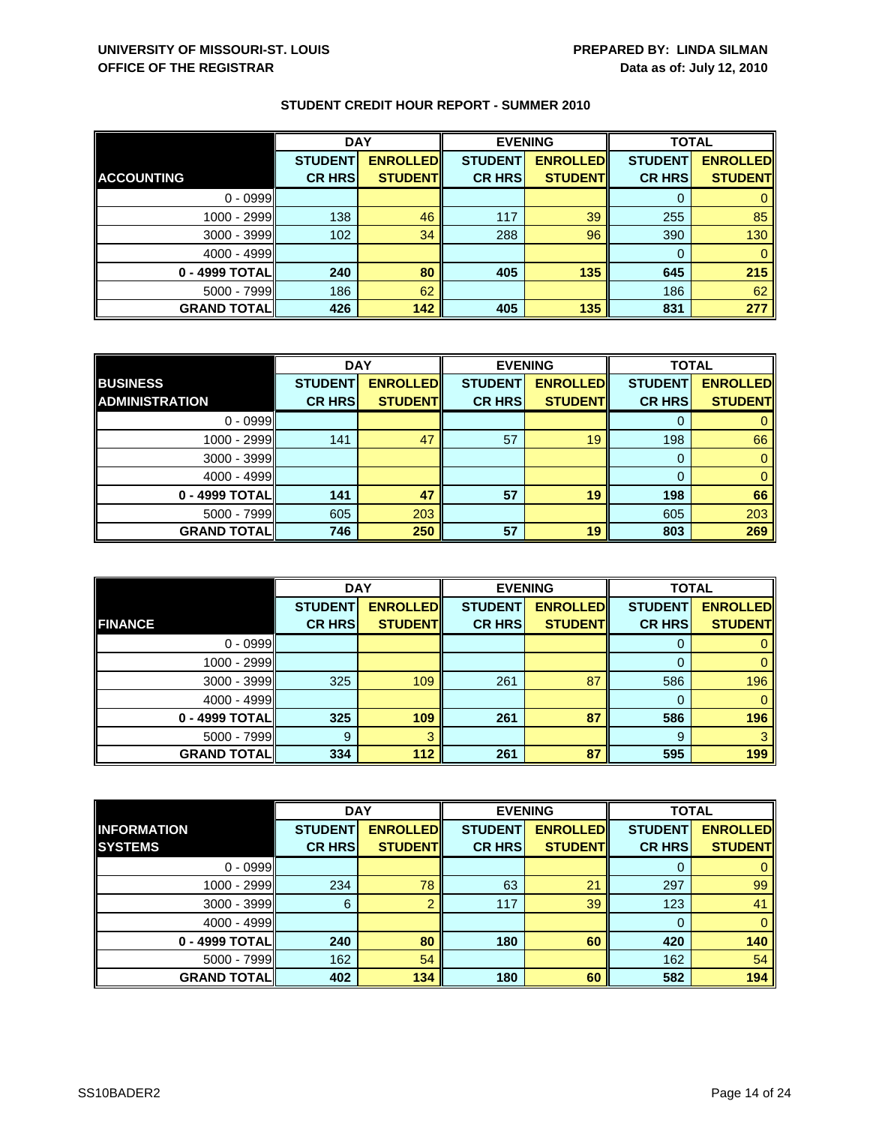|                     | <b>DAY</b>                      |                                    | <b>EVENING</b>                  |                                   | <b>TOTAL</b>                    |                                   |
|---------------------|---------------------------------|------------------------------------|---------------------------------|-----------------------------------|---------------------------------|-----------------------------------|
| <b>ACCOUNTING</b>   | <b>STUDENT</b><br><b>CR HRS</b> | <b>ENROLLEDI</b><br><b>STUDENT</b> | <b>STUDENT</b><br><b>CR HRS</b> | <b>ENROLLED</b><br><b>STUDENT</b> | <b>STUDENT</b><br><b>CR HRS</b> | <b>ENROLLED</b><br><b>STUDENT</b> |
|                     |                                 |                                    |                                 |                                   |                                 |                                   |
| $0 - 0999$          |                                 |                                    |                                 |                                   |                                 |                                   |
| $1000 - 2999$       | 138                             | 46                                 | 117                             | 39                                | 255                             | 85                                |
| $3000 - 3999$       | 102                             | 34                                 | 288                             | 96                                | 390                             | 130                               |
| $4000 - 4999$       |                                 |                                    |                                 |                                   | 0                               |                                   |
| 0 - 4999 TOTAL      | 240                             | 80                                 | 405                             | 135                               | 645                             | 215                               |
| $5000 - 7999$       | 186                             | 62                                 |                                 |                                   | 186                             | 62                                |
| <b>GRAND TOTALI</b> | 426                             | 142                                | 405                             | 135                               | 831                             | 277                               |

|                       | <b>DAY</b>     |                 |                | <b>EVENING</b>  | <b>TOTAL</b>   |                 |
|-----------------------|----------------|-----------------|----------------|-----------------|----------------|-----------------|
| <b>BUSINESS</b>       | <b>STUDENT</b> | <b>ENROLLED</b> | <b>STUDENT</b> | <b>ENROLLED</b> | <b>STUDENT</b> | <b>ENROLLED</b> |
| <b>ADMINISTRATION</b> | <b>CR HRS</b>  | <b>STUDENT</b>  | <b>CR HRS</b>  | <b>STUDENT</b>  | <b>CR HRS</b>  | <b>STUDENT</b>  |
| $0 - 0999$            |                |                 |                |                 |                |                 |
| $1000 - 2999$         | 141            | 47              | 57             | 19              | 198            | 66              |
| $3000 - 3999$         |                |                 |                |                 | O              |                 |
| $4000 - 4999$         |                |                 |                |                 |                | 0               |
| 0 - 4999 TOTAL        | 141            | 47              | 57             | 19              | 198            | 66              |
| $5000 - 7999$         | 605            | 203             |                |                 | 605            | 203             |
| <b>GRAND TOTAL</b>    | 746            | 250             | 57             | 19              | 803            | 269             |

|                    | <b>DAY</b>     |                 |                | <b>EVENING</b>  | <b>TOTAL</b>   |                 |
|--------------------|----------------|-----------------|----------------|-----------------|----------------|-----------------|
|                    | <b>STUDENT</b> | <b>ENROLLED</b> | <b>STUDENT</b> | <b>ENROLLED</b> | <b>STUDENT</b> | <b>ENROLLED</b> |
| <b>FINANCE</b>     | <b>CR HRS</b>  | <b>STUDENT</b>  | <b>CR HRS</b>  | <b>STUDENT</b>  | <b>CR HRS</b>  | <b>STUDENT</b>  |
| $0 - 0999$         |                |                 |                |                 | O              |                 |
| 1000 - 2999        |                |                 |                |                 |                |                 |
| 3000 - 3999        | 325            | 109             | 261            | 87              | 586            | 196             |
| $4000 - 4999$      |                |                 |                |                 | 0              | 0               |
| 0 - 4999 TOTAL     | 325            | 109             | 261            | 87              | 586            | 196             |
| $5000 - 7999$      | 9              | 3               |                |                 | 9              | 3               |
| <b>GRAND TOTAL</b> | 334            | 112             | 261            | 87              | 595            | 199             |

|                    | <b>DAY</b>     |                  | <b>EVENING</b> |                 | <b>TOTAL</b>   |                 |
|--------------------|----------------|------------------|----------------|-----------------|----------------|-----------------|
| <b>INFORMATION</b> | <b>STUDENT</b> | <b>ENROLLEDI</b> | <b>STUDENT</b> | <b>ENROLLED</b> | <b>STUDENT</b> | <b>ENROLLED</b> |
| <b>SYSTEMS</b>     | <b>CR HRS</b>  | <b>STUDENT</b>   | <b>CR HRS</b>  | <b>STUDENT</b>  | <b>CR HRS</b>  | <b>STUDENT</b>  |
| $0 - 0999$         |                |                  |                |                 | O              | 0               |
| 1000 - 2999        | 234            | 78               | 63             | 21              | 297            | 99              |
| $3000 - 3999$      | 6              |                  | 117            | 39              | 123            | 41              |
| $4000 - 4999$      |                |                  |                |                 | 0              | $\mathbf{0}$    |
| 0 - 4999 TOTAL     | 240            | 80               | 180            | 60              | 420            | 140             |
| $5000 - 7999$      | 162            | 54               |                |                 | 162            | 54              |
| <b>GRAND TOTAL</b> | 402            | 134              | 180            | 60              | 582            | 194             |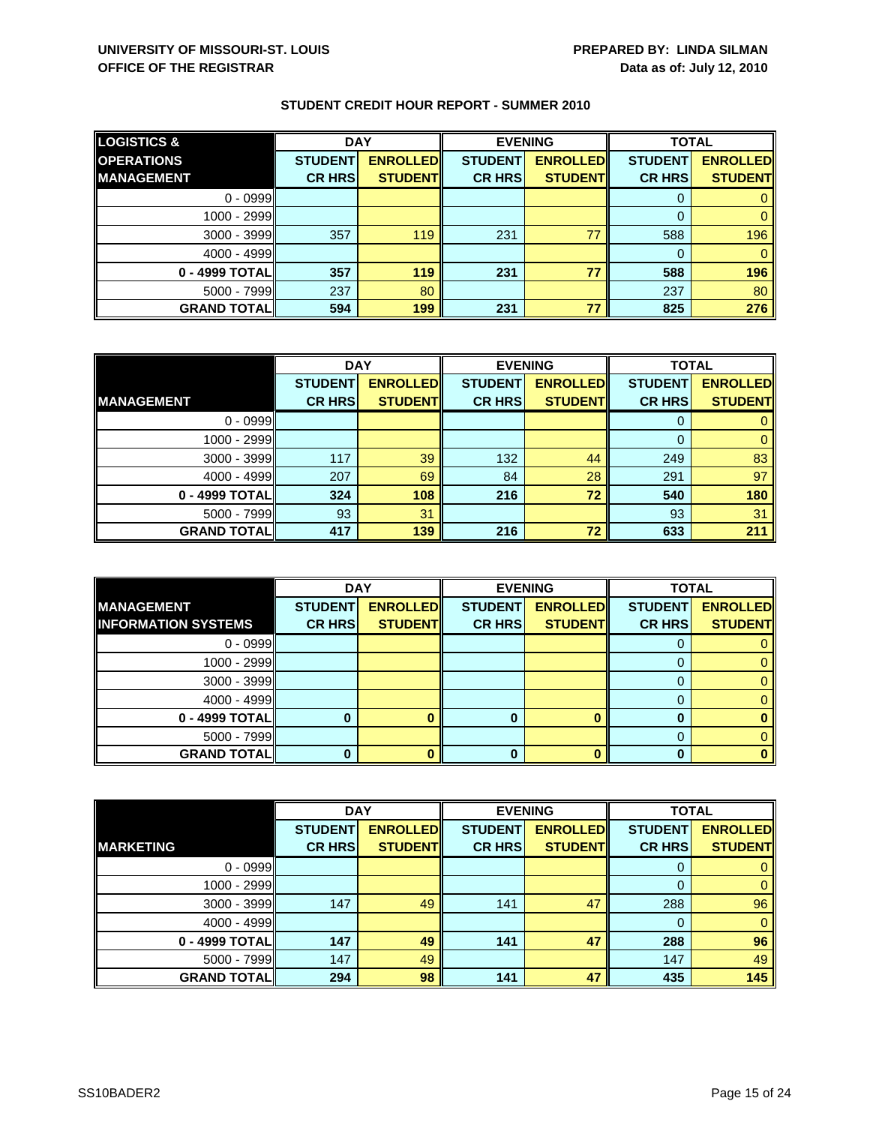| <b>LOGISTICS &amp;</b> | <b>DAY</b>     |                 | <b>EVENING</b> |                 | <b>TOTAL</b>   |                 |
|------------------------|----------------|-----------------|----------------|-----------------|----------------|-----------------|
| <b>OPERATIONS</b>      | <b>STUDENT</b> | <b>ENROLLED</b> | <b>STUDENT</b> | <b>ENROLLED</b> | <b>STUDENT</b> | <b>ENROLLED</b> |
| <b>MANAGEMENT</b>      | <b>CR HRS</b>  | <b>STUDENT</b>  | <b>CR HRS</b>  | <b>STUDENT</b>  | <b>CR HRS</b>  | <b>STUDENT</b>  |
| $0 - 0999$             |                |                 |                |                 |                |                 |
| 1000 - 2999II          |                |                 |                |                 |                |                 |
| $3000 - 3999$          | 357            | 119             | 231            | 77              | 588            | 196             |
| $4000 - 4999$          |                |                 |                |                 |                |                 |
| 0 - 4999 TOTAL         | 357            | 119             | 231            | 77              | 588            | 196             |
| $5000 - 7999$          | 237            | 80              |                |                 | 237            | 80              |
| <b>GRAND TOTAL</b>     | 594            | 199             | 231            | 77              | 825            | 276             |

|                    | <b>DAY</b>     |                 | <b>EVENING</b> |                 | <b>TOTAL</b>   |                 |
|--------------------|----------------|-----------------|----------------|-----------------|----------------|-----------------|
|                    | <b>STUDENT</b> | <b>ENROLLED</b> | <b>STUDENT</b> | <b>ENROLLED</b> | <b>STUDENT</b> | <b>ENROLLED</b> |
| <b>IMANAGEMENT</b> | <b>CR HRS</b>  | <b>STUDENT</b>  | <b>CR HRS</b>  | <b>STUDENT</b>  | <b>CR HRS</b>  | <b>STUDENT</b>  |
| $0 - 0999$         |                |                 |                |                 |                |                 |
| $1000 - 2999$      |                |                 |                |                 | 0              |                 |
| $3000 - 3999$      | 117            | 39              | 132            | 44              | 249            | 83              |
| $4000 - 4999$      | 207            | 69              | 84             | 28              | 291            | 97              |
| 0 - 4999 TOTAL     | 324            | 108             | 216            | 72              | 540            | 180             |
| $5000 - 7999$      | 93             | 31              |                |                 | 93             | 31              |
| <b>GRAND TOTAL</b> | 417            | 139             | 216            | 72              | 633            | 211             |

|                            | <b>DAY</b>     |                 | <b>EVENING</b> |                 | <b>TOTAL</b>   |                 |
|----------------------------|----------------|-----------------|----------------|-----------------|----------------|-----------------|
| <b>MANAGEMENT</b>          | <b>STUDENT</b> | <b>ENROLLED</b> | <b>STUDENT</b> | <b>ENROLLED</b> | <b>STUDENT</b> | <b>ENROLLED</b> |
| <b>INFORMATION SYSTEMS</b> | <b>CR HRS</b>  | <b>STUDENT</b>  | <b>CR HRS</b>  | <b>STUDENT</b>  | <b>CR HRS</b>  | <b>STUDENT</b>  |
| $0 - 0999$                 |                |                 |                |                 |                |                 |
| 1000 - 2999                |                |                 |                |                 |                |                 |
| $3000 - 3999$              |                |                 |                |                 |                |                 |
| $4000 - 4999$              |                |                 |                |                 |                |                 |
| 0 - 4999 TOTAL             |                |                 |                |                 |                |                 |
| $5000 - 7999$              |                |                 |                |                 |                |                 |
| <b>GRAND TOTALI</b>        |                |                 |                |                 |                |                 |

|                    | <b>DAY</b>     |                 | <b>EVENING</b> |                 | <b>TOTAL</b>   |                 |
|--------------------|----------------|-----------------|----------------|-----------------|----------------|-----------------|
|                    | <b>STUDENT</b> | <b>ENROLLED</b> | <b>STUDENT</b> | <b>ENROLLED</b> | <b>STUDENT</b> | <b>ENROLLED</b> |
| <b>MARKETING</b>   | <b>CR HRS</b>  | <b>STUDENT</b>  | <b>CR HRS</b>  | <b>STUDENT</b>  | <b>CR HRS</b>  | <b>STUDENT</b>  |
| $0 - 0999$         |                |                 |                |                 | 0              | $\mathbf{0}$    |
| 1000 - 2999        |                |                 |                |                 | 0              | $\mathbf{0}$    |
| 3000 - 3999        | 147            | 49              | 141            | 47              | 288            | 96              |
| $4000 - 4999$      |                |                 |                |                 | $\Omega$       | $\overline{0}$  |
| 0 - 4999 TOTAL     | 147            | 49              | 141            | 47              | 288            | 96              |
| $5000 - 7999$      | 147            | 49              |                |                 | 147            | 49              |
| <b>GRAND TOTAL</b> | 294            | 98              | 141            | 47              | 435            | 145             |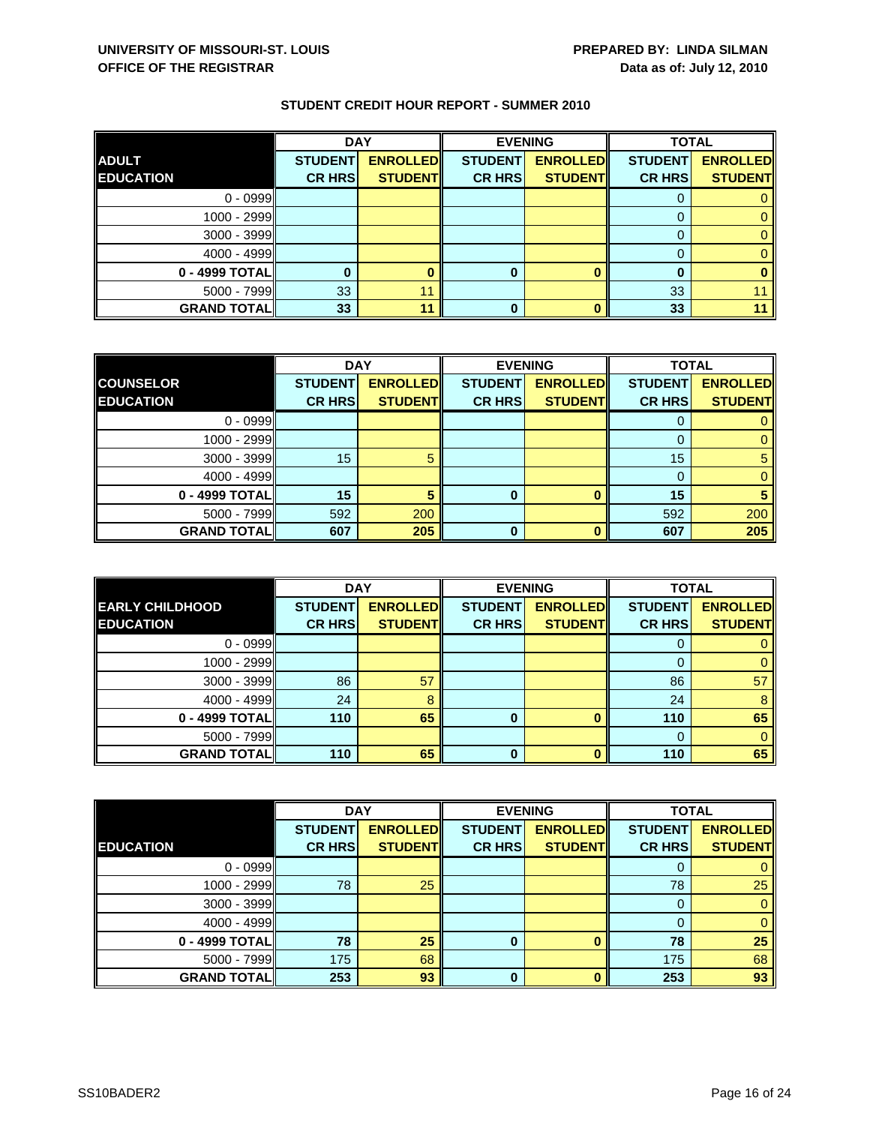|                    | <b>DAY</b>     |                 |                | <b>EVENING</b>  | <b>TOTAL</b>   |                 |
|--------------------|----------------|-----------------|----------------|-----------------|----------------|-----------------|
| <b>ADULT</b>       | <b>STUDENT</b> | <b>ENROLLED</b> | <b>STUDENT</b> | <b>ENROLLED</b> | <b>STUDENT</b> | <b>ENROLLED</b> |
| <b>EDUCATION</b>   | <b>CR HRS</b>  | <b>STUDENT</b>  | <b>CR HRS</b>  | <b>STUDENT</b>  | <b>CR HRS</b>  | <b>STUDENT</b>  |
| $0 - 0999$         |                |                 |                |                 |                |                 |
| 1000 - 2999        |                |                 |                |                 |                |                 |
| 3000 - 3999        |                |                 |                |                 |                |                 |
| $4000 - 4999$      |                |                 |                |                 |                |                 |
| 0 - 4999 TOTAL     |                |                 | 0              |                 |                |                 |
| 5000 - 7999        | 33             | 11              |                |                 | 33             |                 |
| <b>GRAND TOTAL</b> | 33             | 11              |                |                 | 33             |                 |

|                    | <b>DAY</b>     |                 |                | <b>EVENING</b>  | <b>TOTAL</b>   |                 |
|--------------------|----------------|-----------------|----------------|-----------------|----------------|-----------------|
| <b>COUNSELOR</b>   | <b>STUDENT</b> | <b>ENROLLED</b> | <b>STUDENT</b> | <b>ENROLLED</b> | <b>STUDENT</b> | <b>ENROLLED</b> |
| <b>EDUCATION</b>   | <b>CR HRS</b>  | <b>STUDENT</b>  | <b>CR HRS</b>  | <b>STUDENT</b>  | <b>CR HRS</b>  | <b>STUDENT</b>  |
| $0 - 0999$         |                |                 |                |                 |                |                 |
| 1000 - 2999        |                |                 |                |                 | $\Omega$       |                 |
| $3000 - 3999$      | 15             | 5               |                |                 | 15             | b               |
| $4000 - 4999$      |                |                 |                |                 |                |                 |
| 0 - 4999 TOTAL     | 15             |                 | 0              | $\bf{0}$        | 15             |                 |
| $5000 - 7999$      | 592            | 200             |                |                 | 592            | 200             |
| <b>GRAND TOTAL</b> | 607            | 205             | 0              | n               | 607            | 205             |

|                        | <b>DAY</b>     |                 |                | <b>EVENING</b>  | <b>TOTAL</b>   |                 |
|------------------------|----------------|-----------------|----------------|-----------------|----------------|-----------------|
| <b>EARLY CHILDHOOD</b> | <b>STUDENT</b> | <b>ENROLLED</b> | <b>STUDENT</b> | <b>ENROLLED</b> | <b>STUDENT</b> | <b>ENROLLED</b> |
| <b>EDUCATION</b>       | <b>CR HRS</b>  | <b>STUDENT</b>  | <b>CR HRS</b>  | <b>STUDENT</b>  | <b>CR HRS</b>  | <b>STUDENT</b>  |
| $0 - 0999$             |                |                 |                |                 | U              |                 |
| 1000 - 2999            |                |                 |                |                 |                |                 |
| $3000 - 3999$          | 86             | 57              |                |                 | 86             | 57              |
| $4000 - 4999$          | 24             | 8               |                |                 | 24             | 8               |
| 0 - 4999 TOTAL         | 110            | 65              | 0              | ŋ               | 110            | 65              |
| $5000 - 7999$          |                |                 |                |                 | $\Omega$       |                 |
| <b>GRAND TOTAL</b>     | 110            | 65              | 0              |                 | 110            | 65              |

|                    | <b>DAY</b>     |                 | <b>EVENING</b> |                 | <b>TOTAL</b>   |                 |
|--------------------|----------------|-----------------|----------------|-----------------|----------------|-----------------|
|                    | <b>STUDENT</b> | <b>ENROLLED</b> | <b>STUDENT</b> | <b>ENROLLED</b> | <b>STUDENT</b> | <b>ENROLLED</b> |
| <b>EDUCATION</b>   | <b>CR HRS</b>  | <b>STUDENT</b>  | <b>CR HRS</b>  | <b>STUDENT</b>  | <b>CR HRS</b>  | <b>STUDENT</b>  |
| $0 - 0999$         |                |                 |                |                 | 0              | 0               |
| 1000 - 2999        | 78             | 25              |                |                 | 78             | 25              |
| $3000 - 3999$      |                |                 |                |                 | 0              | $\mathbf{0}$    |
| $4000 - 4999$      |                |                 |                |                 | 0              | $\mathbf{0}$    |
| 0 - 4999 TOTAL     | 78             | 25              | $\bf{0}$       |                 | 78             | 25              |
| $5000 - 7999$      | 175            | 68              |                |                 | 175            | 68              |
| <b>GRAND TOTAL</b> | 253            | 93              | $\bf{0}$       | n               | 253            | 93              |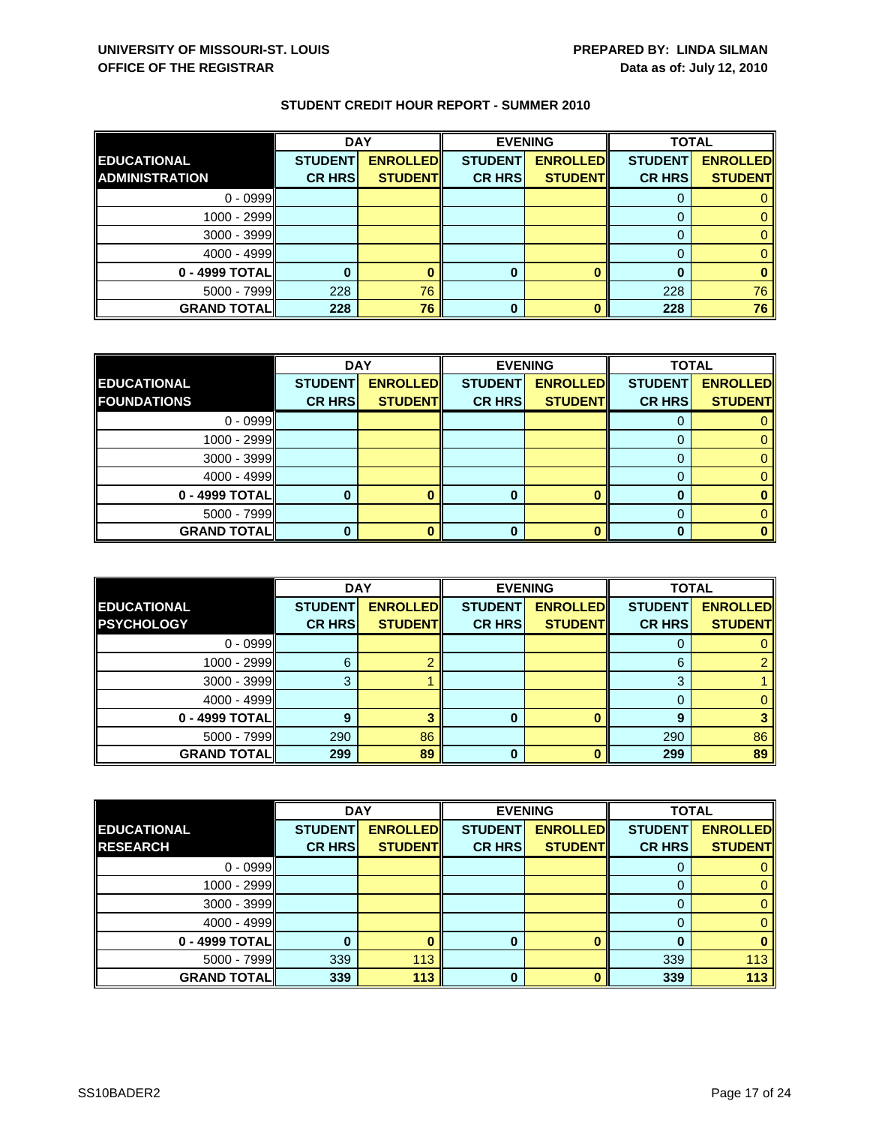|                       | <b>DAY</b>     |                 |                | <b>EVENING</b>  | <b>TOTAL</b>   |                 |
|-----------------------|----------------|-----------------|----------------|-----------------|----------------|-----------------|
| <b>EDUCATIONAL</b>    | <b>STUDENT</b> | <b>ENROLLED</b> | <b>STUDENT</b> | <b>ENROLLED</b> | <b>STUDENT</b> | <b>ENROLLED</b> |
| <b>ADMINISTRATION</b> | <b>CR HRS</b>  | <b>STUDENT</b>  | <b>CR HRS</b>  | <b>STUDENT</b>  | <b>CR HRS</b>  | <b>STUDENT</b>  |
| $0 - 0999$            |                |                 |                |                 |                |                 |
| 1000 - 2999           |                |                 |                |                 |                |                 |
| $3000 - 3999$         |                |                 |                |                 |                |                 |
| $4000 - 4999$         |                |                 |                |                 |                |                 |
| 0 - 4999 TOTAL        |                |                 | 0              |                 |                |                 |
| $5000 - 7999$         | 228            | 76              |                |                 | 228            | 76              |
| <b>GRAND TOTALI</b>   | 228            | 76              | 0              |                 | 228            | 76              |

|                    | <b>DAY</b>     |                 |                | <b>EVENING</b>  | <b>TOTAL</b>   |                 |
|--------------------|----------------|-----------------|----------------|-----------------|----------------|-----------------|
| <b>EDUCATIONAL</b> | <b>STUDENT</b> | <b>ENROLLED</b> | <b>STUDENT</b> | <b>ENROLLED</b> | <b>STUDENT</b> | <b>ENROLLED</b> |
| <b>FOUNDATIONS</b> | <b>CR HRS</b>  | <b>STUDENT</b>  | <b>CR HRS</b>  | <b>STUDENT</b>  | <b>CR HRS</b>  | <b>STUDENT</b>  |
| $0 - 0999$         |                |                 |                |                 |                |                 |
| 1000 - 2999        |                |                 |                |                 |                |                 |
| $3000 - 3999$      |                |                 |                |                 |                |                 |
| 4000 - 4999        |                |                 |                |                 |                |                 |
| 0 - 4999 TOTAL     |                |                 | o              |                 |                |                 |
| $5000 - 7999$      |                |                 |                |                 |                |                 |
| <b>GRAND TOTAL</b> |                |                 |                |                 |                |                 |

|                    | <b>DAY</b>     |                 | <b>EVENING</b> |                 | <b>TOTAL</b>   |                 |
|--------------------|----------------|-----------------|----------------|-----------------|----------------|-----------------|
| <b>EDUCATIONAL</b> | <b>STUDENT</b> | <b>ENROLLED</b> | <b>STUDENT</b> | <b>ENROLLED</b> | <b>STUDENT</b> | <b>ENROLLED</b> |
| <b>PSYCHOLOGY</b>  | <b>CR HRS</b>  | <b>STUDENT</b>  | <b>CR HRS</b>  | <b>STUDENT</b>  | <b>CR HRS</b>  | <b>STUDENT</b>  |
| $0 - 0999$         |                |                 |                |                 |                |                 |
| $1000 - 2999$      | 6              |                 |                |                 | 6              |                 |
| $3000 - 3999$      | 3              |                 |                |                 | 3              |                 |
| $4000 - 4999$      |                |                 |                |                 |                |                 |
| 0 - 4999 TOTAL     | q              |                 | 0              |                 | 9              |                 |
| $5000 - 7999$      | 290            | 86              |                |                 | 290            | 86              |
| <b>GRAND TOTAL</b> | 299            | 89              | 0              |                 | 299            | 89              |

|                    | <b>DAY</b>     |                 | <b>EVENING</b> |                 | <b>TOTAL</b>   |                 |
|--------------------|----------------|-----------------|----------------|-----------------|----------------|-----------------|
| <b>EDUCATIONAL</b> | <b>STUDENT</b> | <b>ENROLLED</b> | <b>STUDENT</b> | <b>ENROLLED</b> | <b>STUDENT</b> | <b>ENROLLED</b> |
| <b>RESEARCH</b>    | <b>CR HRS</b>  | <b>STUDENT</b>  | <b>CR HRS</b>  | <b>STUDENT</b>  | <b>CR HRS</b>  | <b>STUDENT</b>  |
| $0 - 0999$         |                |                 |                |                 | O              | 0               |
| 1000 - 2999        |                |                 |                |                 | 0              | $\mathbf{0}$    |
| $3000 - 3999$      |                |                 |                |                 | 0              | 0               |
| $4000 - 4999$      |                |                 |                |                 | 0              | $\mathbf{0}$    |
| 0 - 4999 TOTAL     |                |                 | 0              |                 | 0              | $\bf{0}$        |
| $5000 - 7999$      | 339            | 113             |                |                 | 339            | 113             |
| <b>GRAND TOTAL</b> | 339            | 113             | $\bf{0}$       | $\Omega$        | 339            | 113             |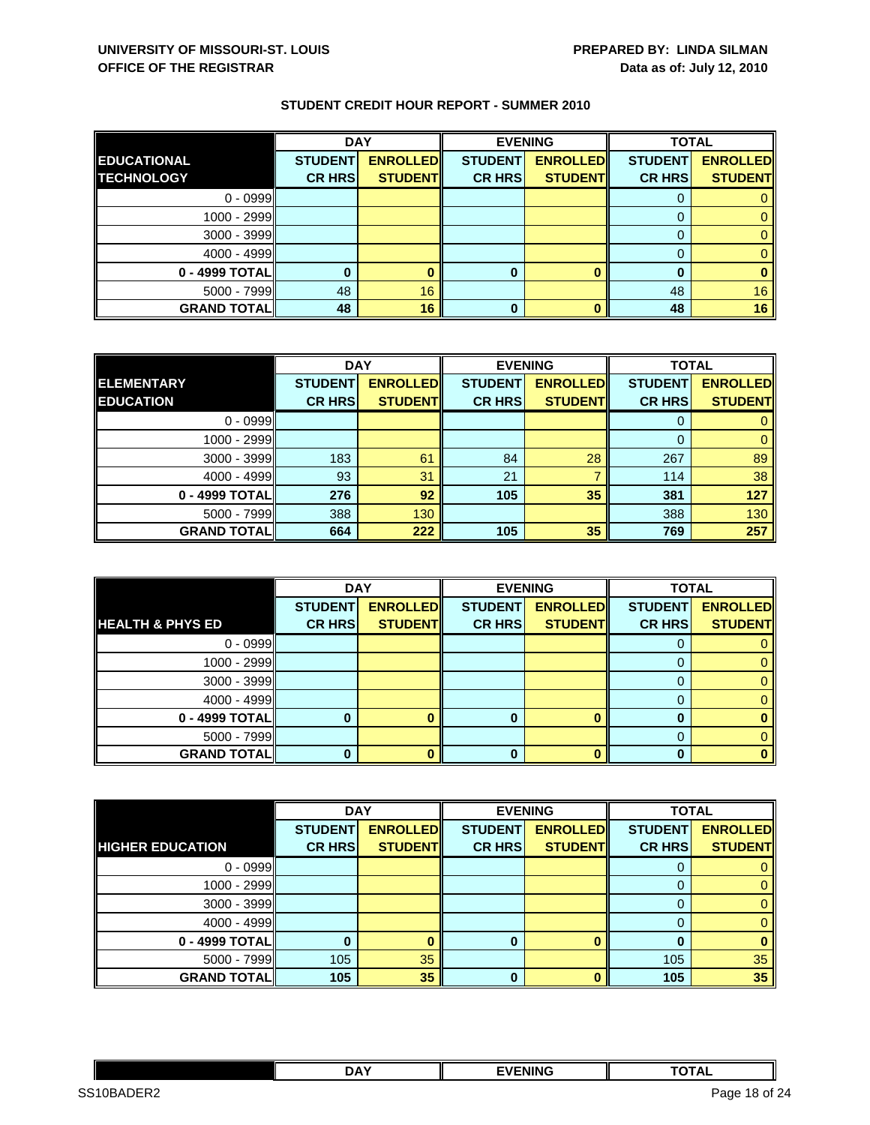|                    | <b>DAY</b>     |                 |                | <b>EVENING</b>  | <b>TOTAL</b>   |                 |
|--------------------|----------------|-----------------|----------------|-----------------|----------------|-----------------|
| <b>EDUCATIONAL</b> | <b>STUDENT</b> | <b>ENROLLED</b> | <b>STUDENT</b> | <b>ENROLLED</b> | <b>STUDENT</b> | <b>ENROLLED</b> |
| <b>TECHNOLOGY</b>  | <b>CR HRS</b>  | <b>STUDENT</b>  | <b>CR HRS</b>  | <b>STUDENT</b>  | <b>CR HRS</b>  | <b>STUDENT</b>  |
| $0 - 0999$         |                |                 |                |                 |                |                 |
| 1000 - 2999        |                |                 |                |                 |                |                 |
| $3000 - 3999$      |                |                 |                |                 | 0              |                 |
| $4000 - 4999$      |                |                 |                |                 |                |                 |
| 0 - 4999 TOTAL     |                |                 |                |                 |                |                 |
| $5000 - 7999$      | 48             | 16              |                |                 | 48             | 16              |
| <b>GRAND TOTAL</b> | 48             | 16              | 0              |                 | 48             | 16              |

|                    | <b>DAY</b>     |                 |                | <b>EVENING</b>  | <b>TOTAL</b>   |                 |
|--------------------|----------------|-----------------|----------------|-----------------|----------------|-----------------|
| <b>IELEMENTARY</b> | <b>STUDENT</b> | <b>ENROLLED</b> | <b>STUDENT</b> | <b>ENROLLED</b> | <b>STUDENT</b> | <b>ENROLLED</b> |
| <b>EDUCATION</b>   | <b>CR HRS</b>  | <b>STUDENT</b>  | <b>CR HRS</b>  | <b>STUDENT</b>  | <b>CR HRS</b>  | <b>STUDENT</b>  |
| $0 - 0999$         |                |                 |                |                 |                |                 |
| 1000 - 2999        |                |                 |                |                 | 0              |                 |
| $3000 - 3999$      | 183            | 61              | 84             | 28              | 267            | 89              |
| $4000 - 4999$      | 93             | 31              | 21             |                 | 114            | 38              |
| 0 - 4999 TOTAL     | 276            | 92              | 105            | 35              | 381            | 127             |
| $5000 - 7999$      | 388            | 130             |                |                 | 388            | 130             |
| <b>GRAND TOTAL</b> | 664            | 222             | 105            | 35              | 769            | 257             |

|                             | <b>DAY</b>     |                 |                | <b>EVENING</b>  | <b>TOTAL</b>   |                 |
|-----------------------------|----------------|-----------------|----------------|-----------------|----------------|-----------------|
|                             | <b>STUDENT</b> | <b>ENROLLED</b> | <b>STUDENT</b> | <b>ENROLLED</b> | <b>STUDENT</b> | <b>ENROLLED</b> |
| <b>HEALTH &amp; PHYS ED</b> | <b>CR HRS</b>  | <b>STUDENT</b>  | <b>CR HRS</b>  | <b>STUDENT</b>  | <b>CR HRS</b>  | <b>STUDENT</b>  |
| $0 - 0999$                  |                |                 |                |                 | O              |                 |
| 1000 - 2999                 |                |                 |                |                 |                |                 |
| $3000 - 3999$               |                |                 |                |                 |                |                 |
| $4000 - 4999$               |                |                 |                |                 |                |                 |
| 0 - 4999 TOTAL              |                |                 |                |                 |                |                 |
| $5000 - 7999$               |                |                 |                |                 |                |                 |
| <b>GRAND TOTAL</b>          |                |                 | 0              |                 |                |                 |

|                         | <b>DAY</b>     |                 |                | <b>EVENING</b>  | <b>TOTAL</b>   |                 |
|-------------------------|----------------|-----------------|----------------|-----------------|----------------|-----------------|
|                         | <b>STUDENT</b> | <b>ENROLLED</b> | <b>STUDENT</b> | <b>ENROLLED</b> | <b>STUDENT</b> | <b>ENROLLED</b> |
| <b>HIGHER EDUCATION</b> | <b>CR HRS</b>  | <b>STUDENT</b>  | <b>CR HRS</b>  | <b>STUDENT</b>  | <b>CR HRS</b>  | <b>STUDENT</b>  |
| $0 - 0999$              |                |                 |                |                 |                |                 |
| 1000 - 2999             |                |                 |                |                 | 0              | 0               |
| $3000 - 3999$           |                |                 |                |                 | 0              | 0               |
| $4000 - 4999$           |                |                 |                |                 |                | 0               |
| 0 - 4999 TOTAL          |                |                 | 0              |                 |                | 0               |
| $5000 - 7999$           | 105            | 35              |                |                 | 105            | 35              |
| <b>GRAND TOTAL</b>      | 105            | 35              | $\bf{0}$       |                 | 105            | 35              |

|                                                                | <b>DAY</b> | <b>EVENING</b> | $\cdots$<br><u>ль</u> |            |
|----------------------------------------------------------------|------------|----------------|-----------------------|------------|
| מרחי<br>SS <sub>1</sub><br>OB<br>⊢ו⊣ו<br>$5$ AI<br>$\tilde{ }$ |            |                | Page<br>- 10-         | of 24<br>- |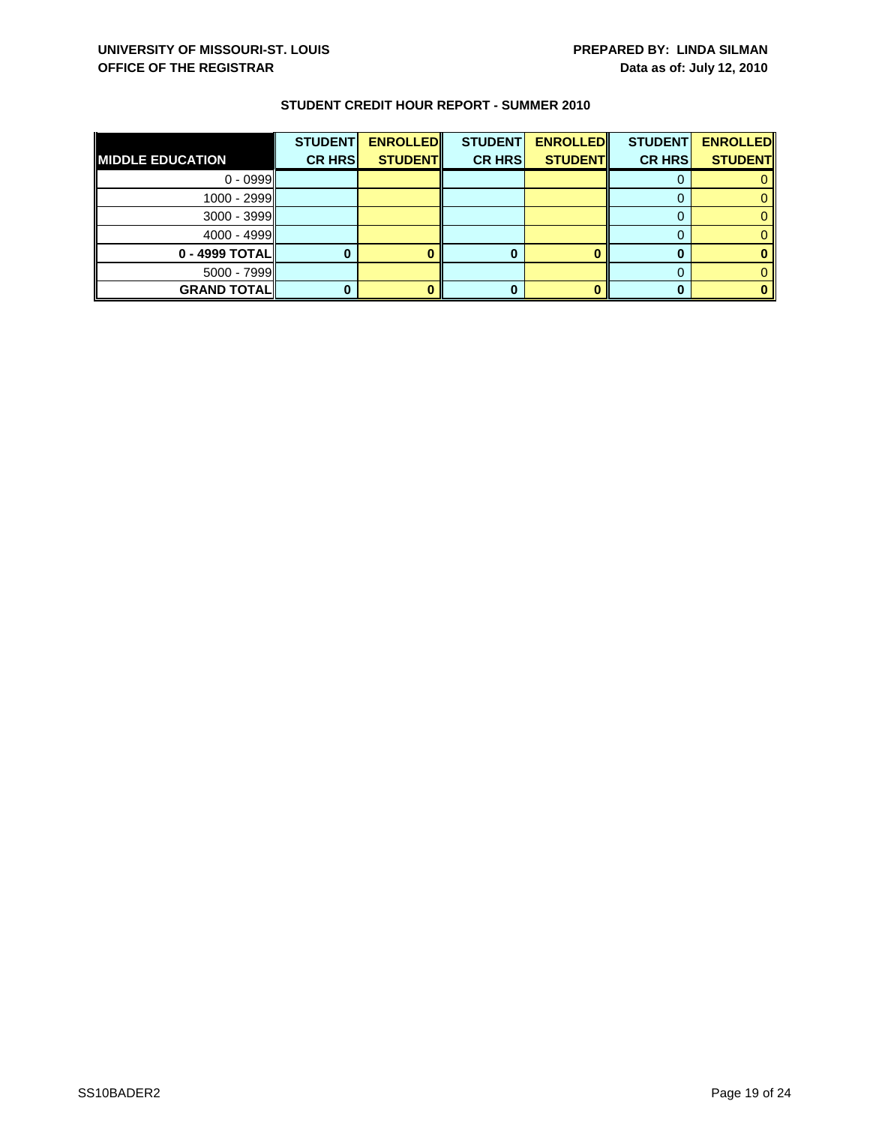| <b>MIDDLE EDUCATION</b> | <b>STUDENT</b><br><b>CR HRS</b> | <b>ENROLLED</b><br><b>STUDENT</b> | <b>STUDENT</b><br><b>CR HRS</b> | <b>ENROLLED</b><br><b>STUDENT</b> | <b>STUDENT</b><br><b>CR HRS</b> | <b>ENROLLED</b><br><b>STUDENT</b> |
|-------------------------|---------------------------------|-----------------------------------|---------------------------------|-----------------------------------|---------------------------------|-----------------------------------|
| $0 - 0999$              |                                 |                                   |                                 |                                   |                                 |                                   |
| 1000 - 2999             |                                 |                                   |                                 |                                   |                                 |                                   |
| $3000 - 3999$           |                                 |                                   |                                 |                                   |                                 |                                   |
| $4000 - 4999$           |                                 |                                   |                                 |                                   |                                 |                                   |
| 0 - 4999 TOTAL          |                                 |                                   |                                 |                                   |                                 |                                   |
| $5000 - 7999$           |                                 |                                   |                                 |                                   |                                 |                                   |
| <b>GRAND TOTALI</b>     |                                 |                                   |                                 |                                   |                                 |                                   |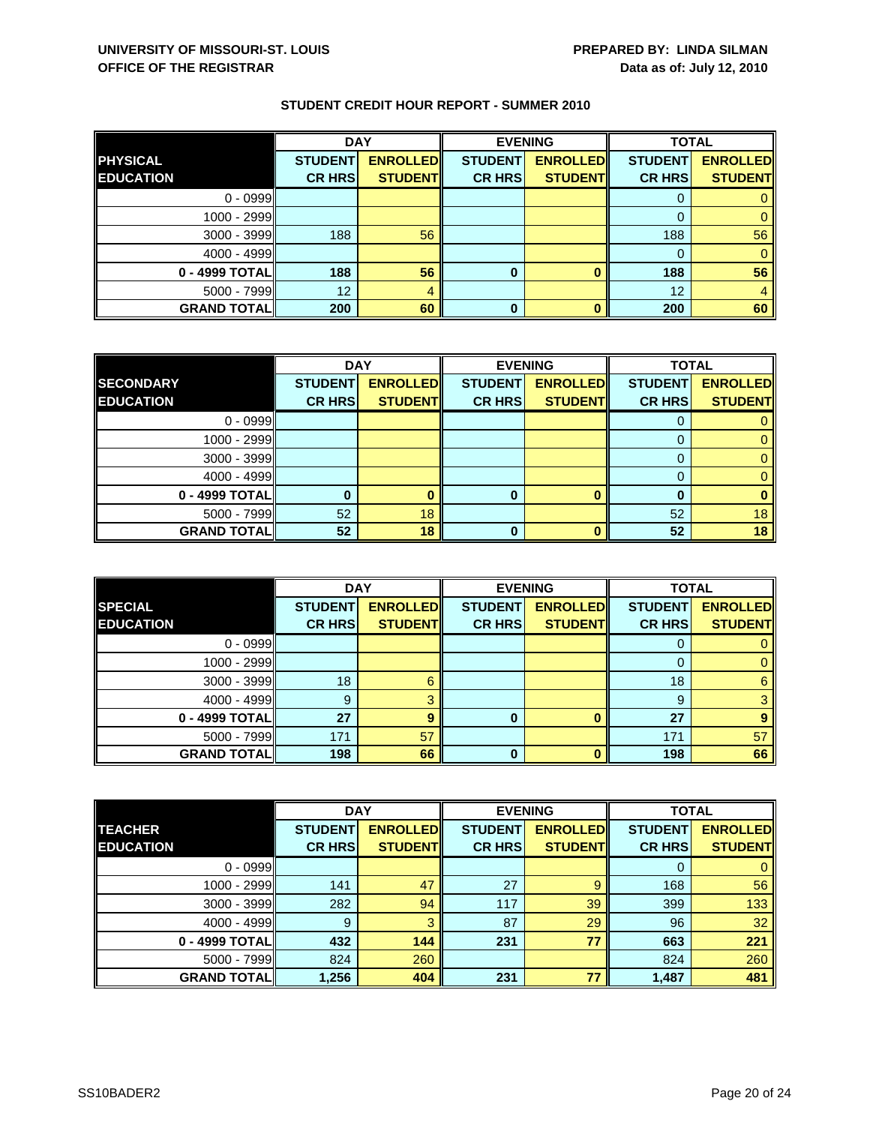|                    | <b>DAY</b>     |                 |                | <b>EVENING</b>  | <b>TOTAL</b>   |                 |
|--------------------|----------------|-----------------|----------------|-----------------|----------------|-----------------|
| <b>PHYSICAL</b>    | <b>STUDENT</b> | <b>ENROLLED</b> | <b>STUDENT</b> | <b>ENROLLED</b> | <b>STUDENT</b> | <b>ENROLLED</b> |
| <b>EDUCATION</b>   | <b>CR HRS</b>  | <b>STUDENT</b>  | <b>CR HRS</b>  | <b>STUDENT</b>  | <b>CR HRS</b>  | <b>STUDENT</b>  |
| $0 - 0999$         |                |                 |                |                 |                |                 |
| 1000 - 2999        |                |                 |                |                 |                |                 |
| $3000 - 3999$      | 188            | 56              |                |                 | 188            | 56              |
| $4000 - 4999$      |                |                 |                |                 | 0              |                 |
| 0 - 4999 TOTAL     | 188            | 56              | 0              |                 | 188            | 56              |
| $5000 - 7999$      | 12             | 4               |                |                 | 12             |                 |
| <b>GRAND TOTAL</b> | 200            | 60              | 0              |                 | 200            | 60              |

|                    | <b>DAY</b>     |                 |                | <b>EVENING</b>  | <b>TOTAL</b>   |                 |
|--------------------|----------------|-----------------|----------------|-----------------|----------------|-----------------|
| <b>SECONDARY</b>   | <b>STUDENT</b> | <b>ENROLLED</b> | <b>STUDENT</b> | <b>ENROLLED</b> | <b>STUDENT</b> | <b>ENROLLED</b> |
| <b>EDUCATION</b>   | <b>CR HRS</b>  | <b>STUDENT</b>  | <b>CR HRS</b>  | <b>STUDENT</b>  | <b>CR HRS</b>  | <b>STUDENT</b>  |
| $0 - 0999$         |                |                 |                |                 |                |                 |
| 1000 - 2999        |                |                 |                |                 |                |                 |
| $3000 - 3999$      |                |                 |                |                 |                |                 |
| $4000 - 4999$      |                |                 |                |                 |                |                 |
| 0 - 4999 TOTAL     |                |                 | 0              | O               | O              |                 |
| $5000 - 7999$      | 52             | 18              |                |                 | 52             | 18              |
| <b>GRAND TOTAL</b> | 52             | 18              | ŋ              | n               | 52             | 18              |

|                    | <b>DAY</b>     |                 | <b>EVENING</b> |                 | <b>TOTAL</b>   |                 |
|--------------------|----------------|-----------------|----------------|-----------------|----------------|-----------------|
| <b>SPECIAL</b>     | <b>STUDENT</b> | <b>ENROLLED</b> | <b>STUDENT</b> | <b>ENROLLED</b> | <b>STUDENT</b> | <b>ENROLLED</b> |
| <b>EDUCATION</b>   | <b>CR HRS</b>  | <b>STUDENT</b>  | <b>CR HRS</b>  | <b>STUDENT</b>  | <b>CR HRS</b>  | <b>STUDENT</b>  |
| $0 - 0999$         |                |                 |                |                 | υ              |                 |
| $1000 - 2999$      |                |                 |                |                 |                |                 |
| $3000 - 3999$      | 18             |                 |                |                 | 18             | 6               |
| $4000 - 4999$      | 9              |                 |                |                 | 9              |                 |
| 0 - 4999 TOTAL     | 27             | q               | 0              |                 | 27             |                 |
| $5000 - 7999$      | 171            | 57              |                |                 | 171            | 57              |
| <b>GRAND TOTAL</b> | 198            | 66              | $\bf{0}$       |                 | 198            | 66              |

|                    | <b>DAY</b>     |                 | <b>EVENING</b> |                 | <b>TOTAL</b>   |                 |
|--------------------|----------------|-----------------|----------------|-----------------|----------------|-----------------|
| <b>TEACHER</b>     | <b>STUDENT</b> | <b>ENROLLED</b> | <b>STUDENT</b> | <b>ENROLLED</b> | <b>STUDENT</b> | <b>ENROLLED</b> |
| <b>EDUCATION</b>   | <b>CR HRS</b>  | <b>STUDENT</b>  | <b>CR HRS</b>  | <b>STUDENT</b>  | <b>CR HRS</b>  | <b>STUDENT</b>  |
| $0 - 0999$         |                |                 |                |                 | 0              | $\mathbf{0}$    |
| 1000 - 2999        | 141            | 47              | 27             | 9               | 168            | 56              |
| $3000 - 3999$      | 282            | 94              | 117            | 39              | 399            | 133             |
| $4000 - 4999$      | 9              | 3               | 87             | 29              | 96             | 32              |
| 0 - 4999 TOTAL     | 432            | 144             | 231            | 77              | 663            | 221             |
| 5000 - 7999        | 824            | 260             |                |                 | 824            | 260             |
| <b>GRAND TOTAL</b> | 1,256          | 404             | 231            | 77              | 1,487          | 481             |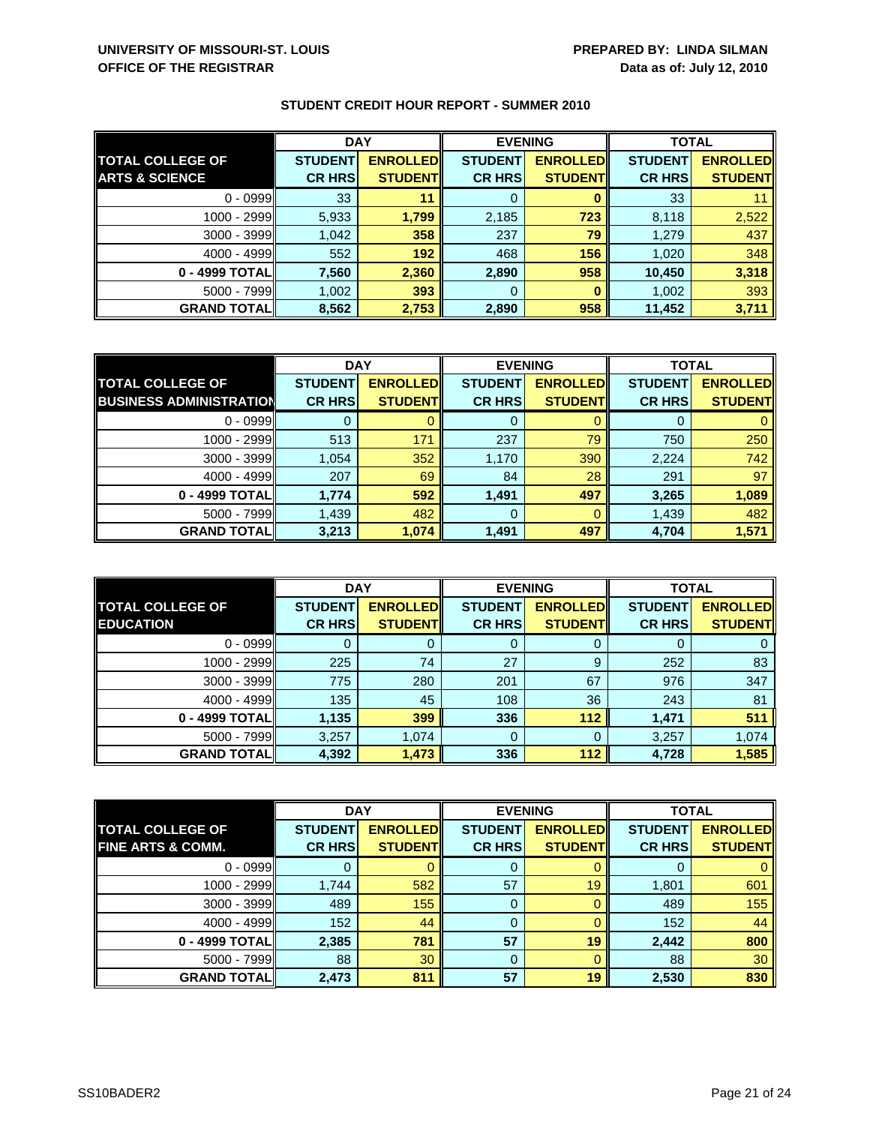|                           | <b>DAY</b>     |                 | <b>EVENING</b> |                 | <b>TOTAL</b>   |                 |
|---------------------------|----------------|-----------------|----------------|-----------------|----------------|-----------------|
| <b>TOTAL COLLEGE OF</b>   | <b>STUDENT</b> | <b>ENROLLED</b> | <b>STUDENT</b> | <b>ENROLLED</b> | <b>STUDENT</b> | <b>ENROLLED</b> |
| <b>ARTS &amp; SCIENCE</b> | <b>CR HRS</b>  | <b>STUDENT</b>  | <b>CR HRS</b>  | <b>STUDENT</b>  | <b>CR HRS</b>  | <b>STUDENT</b>  |
| $0 - 0999$                | 33             | 11              |                |                 | 33             |                 |
| $1000 - 2999$             | 5,933          | 1,799           | 2,185          | 723             | 8,118          | 2,522           |
| $3000 - 3999$             | 1,042          | 358             | 237            | 79              | 1,279          | 437             |
| $4000 - 4999$             | 552            | 192             | 468            | 156             | 1,020          | 348             |
| 0 - 4999 TOTAL            | 7,560          | 2,360           | 2,890          | 958             | 10,450         | 3,318           |
| $5000 - 7999$             | 1,002          | 393             | 0              |                 | 1,002          | 393             |
| <b>GRAND TOTAL</b>        | 8,562          | 2,753           | 2,890          | 958             | 11,452         | 3,711           |

|                                | <b>DAY</b>     |                  | <b>EVENING</b> |                 | <b>TOTAL</b>   |                 |
|--------------------------------|----------------|------------------|----------------|-----------------|----------------|-----------------|
| <b>TOTAL COLLEGE OF</b>        | <b>STUDENT</b> | <b>ENROLLEDI</b> | <b>STUDENT</b> | <b>ENROLLED</b> | <b>STUDENT</b> | <b>ENROLLED</b> |
| <b>BUSINESS ADMINISTRATION</b> | <b>CR HRS</b>  | <b>STUDENT</b>   | <b>CR HRS</b>  | <b>STUDENT</b>  | <b>CR HRS</b>  | <b>STUDENT</b>  |
| $0 - 0999$                     |                |                  |                |                 |                |                 |
| 1000 - 2999                    | 513            | 171              | 237            | 79              | 750            | 250             |
| $3000 - 3999$                  | 1,054          | 352              | 1,170          | 390             | 2,224          | 742             |
| $4000 - 4999$                  | 207            | 69               | 84             | 28              | 291            | 97              |
| 0 - 4999 TOTAL                 | 1,774          | 592              | 1,491          | 497             | 3,265          | 1,089           |
| $5000 - 7999$                  | 1,439          | 482              | 0              |                 | 1,439          | 482             |
| <b>GRAND TOTAL</b>             | 3,213          | 1,074            | 1,491          | 497             | 4,704          | 1,571           |

|                                             | <b>DAY</b>                      |                                   | <b>EVENING</b>                  |                                   | <b>TOTAL</b>                    |                                   |
|---------------------------------------------|---------------------------------|-----------------------------------|---------------------------------|-----------------------------------|---------------------------------|-----------------------------------|
| <b>TOTAL COLLEGE OF</b><br><b>EDUCATION</b> | <b>STUDENT</b><br><b>CR HRS</b> | <b>ENROLLED</b><br><b>STUDENT</b> | <b>STUDENT</b><br><b>CR HRS</b> | <b>ENROLLED</b><br><b>STUDENT</b> | <b>STUDENT</b><br><b>CR HRS</b> | <b>ENROLLED</b><br><b>STUDENT</b> |
| $0 - 0999$                                  |                                 |                                   | Ő                               |                                   |                                 |                                   |
| 1000 - 2999                                 | 225                             | 74                                | 27                              | 9                                 | 252                             | 83                                |
| $3000 - 3999$                               | 775                             | 280                               | 201                             | 67                                | 976                             | 347                               |
| $4000 - 4999$                               | 135                             | 45                                | 108                             | 36                                | 243                             | 81                                |
| 0 - 4999 TOTALI                             | 1,135                           | 399                               | 336                             | 112                               | 1,471                           | 511                               |
| $5000 - 7999$                               | 3,257                           | 1,074                             | 0                               |                                   | 3,257                           | 1,074                             |
| <b>GRAND TOTAL</b>                          | 4,392                           | 1,473                             | 336                             | 112                               | 4,728                           | 1,585                             |

|                              | <b>DAY</b>     |                 | <b>EVENING</b> |                 | <b>TOTAL</b>   |                 |
|------------------------------|----------------|-----------------|----------------|-----------------|----------------|-----------------|
| <b>TOTAL COLLEGE OF</b>      | <b>STUDENT</b> | <b>ENROLLED</b> | <b>STUDENT</b> | <b>ENROLLED</b> | <b>STUDENT</b> | <b>ENROLLED</b> |
| <b>FINE ARTS &amp; COMM.</b> | <b>CR HRS</b>  | <b>STUDENT</b>  | <b>CR HRS</b>  | <b>STUDENT</b>  | <b>CR HRS</b>  | <b>STUDENT</b>  |
| $0 - 0999$                   |                |                 | 0              |                 | O              | 0               |
| 1000 - 2999                  | 1,744          | 582             | 57             | 19              | 1,801          | 601             |
| 3000 - 3999                  | 489            | 155             | 0              |                 | 489            | 155             |
| $4000 - 4999$                | 152            | 44              | 0              |                 | 152            | 44              |
| 0 - 4999 TOTAL               | 2,385          | 781             | 57             | 19              | 2,442          | 800             |
| $5000 - 7999$                | 88             | 30              | 0              |                 | 88             | 30              |
| <b>GRAND TOTAL</b>           | 2,473          | 811             | 57             | 19              | 2,530          | 830             |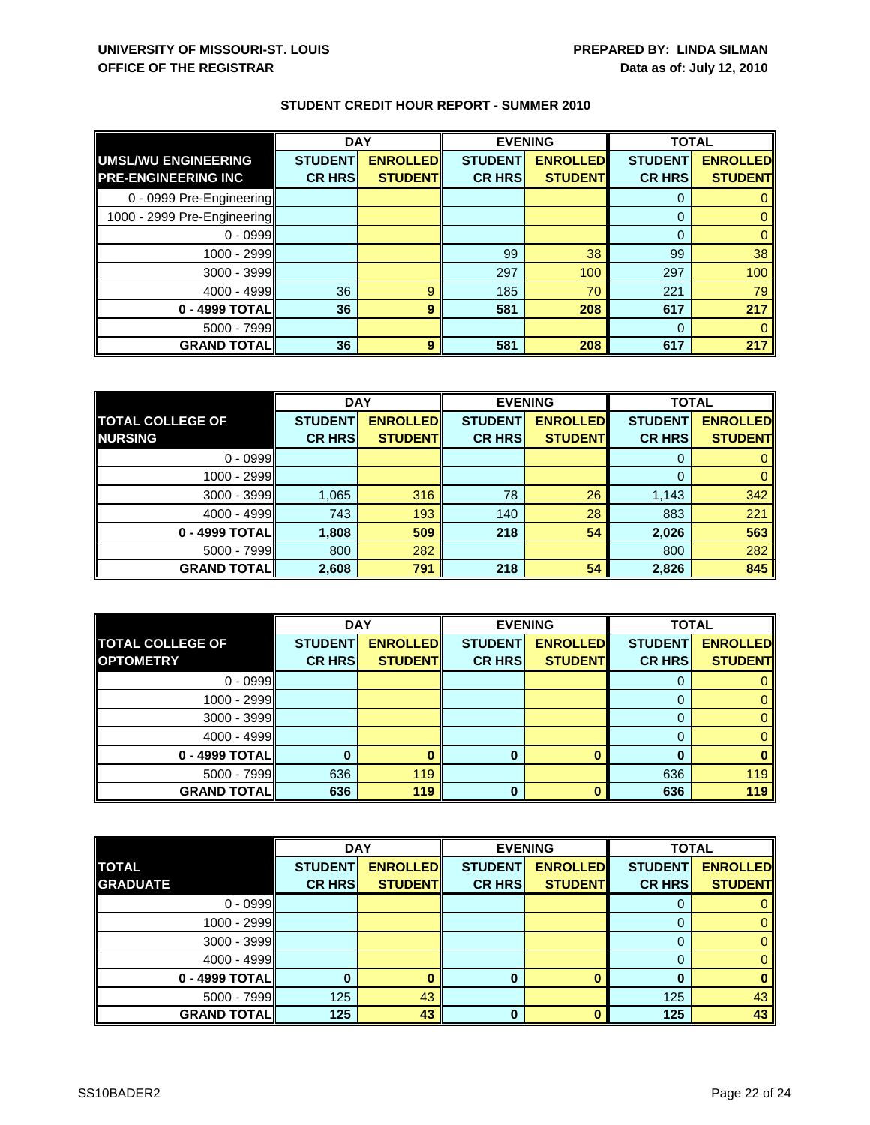|  |  |  |  | <b>STUDENT CREDIT HOUR REPORT - SUMMER 2010</b> |  |
|--|--|--|--|-------------------------------------------------|--|
|--|--|--|--|-------------------------------------------------|--|

|                             | <b>DAY</b>     |                 | <b>EVENING</b> |                 | <b>TOTAL</b>   |                 |
|-----------------------------|----------------|-----------------|----------------|-----------------|----------------|-----------------|
| <b>UMSL/WU ENGINEERING</b>  | <b>STUDENT</b> | <b>ENROLLED</b> | <b>STUDENT</b> | <b>ENROLLED</b> | <b>STUDENT</b> | <b>ENROLLED</b> |
| <b>PRE-ENGINEERING INC</b>  | <b>CR HRS</b>  | <b>STUDENT</b>  | <b>CR HRS</b>  | <b>STUDENT</b>  | <b>CR HRS</b>  | <b>STUDENT</b>  |
| 0 - 0999 Pre-Engineering    |                |                 |                |                 | $\Omega$       |                 |
| 1000 - 2999 Pre-Engineering |                |                 |                |                 | $\Omega$       |                 |
| $0 - 0999$                  |                |                 |                |                 | $\Omega$       |                 |
| 1000 - 2999                 |                |                 | 99             | 38              | 99             | 38              |
| $3000 - 3999$               |                |                 | 297            | 100             | 297            | 100             |
| $4000 - 4999$               | 36             | 9               | 185            | 70              | 221            | 79              |
| 0 - 4999 TOTAL              | 36             | 9               | 581            | 208             | 617            | 217             |
| $5000 - 7999$               |                |                 |                |                 | $\Omega$       |                 |
| <b>GRAND TOTAL</b>          | 36             | 9               | 581            | 208             | 617            | 217             |

|                         | <b>DAY</b>     |                 | <b>EVENING</b> |                 | <b>TOTAL</b>   |                 |
|-------------------------|----------------|-----------------|----------------|-----------------|----------------|-----------------|
| <b>TOTAL COLLEGE OF</b> | <b>STUDENT</b> | <b>ENROLLED</b> | <b>STUDENT</b> | <b>ENROLLED</b> | <b>STUDENT</b> | <b>ENROLLED</b> |
| <b>NURSING</b>          | <b>CR HRS</b>  | <b>STUDENT</b>  | <b>CR HRS</b>  | <b>STUDENT</b>  | <b>CR HRS</b>  | <b>STUDENT</b>  |
| $0 - 0999$              |                |                 |                |                 |                |                 |
| 1000 - 2999             |                |                 |                |                 |                |                 |
| $3000 - 3999$           | 1,065          | 316             | 78             | 26              | 1,143          | 342             |
| $4000 - 4999$           | 743            | 193             | 140            | 28              | 883            | 221             |
| 0 - 4999 TOTALI         | 1,808          | 509             | 218            | 54              | 2,026          | 563             |
| $5000 - 7999$           | 800            | 282             |                |                 | 800            | 282             |
| <b>GRAND TOTAL</b>      | 2,608          | 791             | 218            | 54              | 2,826          | 845             |

|                         | <b>DAY</b>     |                 |                | <b>EVENING</b>  | <b>TOTAL</b>   |                 |
|-------------------------|----------------|-----------------|----------------|-----------------|----------------|-----------------|
| <b>TOTAL COLLEGE OF</b> | <b>STUDENT</b> | <b>ENROLLED</b> | <b>STUDENT</b> | <b>ENROLLED</b> | <b>STUDENT</b> | <b>ENROLLED</b> |
| <b>OPTOMETRY</b>        | <b>CR HRS</b>  | <b>STUDENT</b>  | <b>CR HRS</b>  | <b>STUDENT</b>  | <b>CR HRS</b>  | <b>STUDENT</b>  |
| $0 - 0999$              |                |                 |                |                 |                |                 |
| 1000 - 2999             |                |                 |                |                 |                |                 |
| $3000 - 3999$           |                |                 |                |                 |                |                 |
| $4000 - 4999$           |                |                 |                |                 |                |                 |
| 0 - 4999 TOTAL          |                |                 | 0              |                 |                |                 |
| $5000 - 7999$           | 636            | 119             |                |                 | 636            | 119             |
| <b>GRAND TOTAL</b>      | 636            | 119             | U              |                 | 636            | 119             |

|                    | <b>DAY</b>     |                 | <b>EVENING</b> |                 | <b>TOTAL</b>   |                 |
|--------------------|----------------|-----------------|----------------|-----------------|----------------|-----------------|
| <b>TOTAL</b>       | <b>STUDENT</b> | <b>ENROLLED</b> | <b>STUDENT</b> | <b>ENROLLED</b> | <b>STUDENT</b> | <b>ENROLLED</b> |
| <b>GRADUATE</b>    | <b>CR HRS</b>  | <b>STUDENTI</b> | <b>CR HRS</b>  | <b>STUDENT</b>  | <b>CR HRS</b>  | <b>STUDENT</b>  |
| $0 - 0999$         |                |                 |                |                 |                |                 |
| 1000 - 2999        |                |                 |                |                 |                |                 |
| 3000 - 3999        |                |                 |                |                 |                |                 |
| $4000 - 4999$      |                |                 |                |                 |                |                 |
| 0 - 4999 TOTAL     | 0              |                 | 0              |                 |                |                 |
| $5000 - 7999$      | 125            | 43              |                |                 | 125            | 43              |
| <b>GRAND TOTAL</b> | 125            | 43              | 0              |                 | 125            | 43              |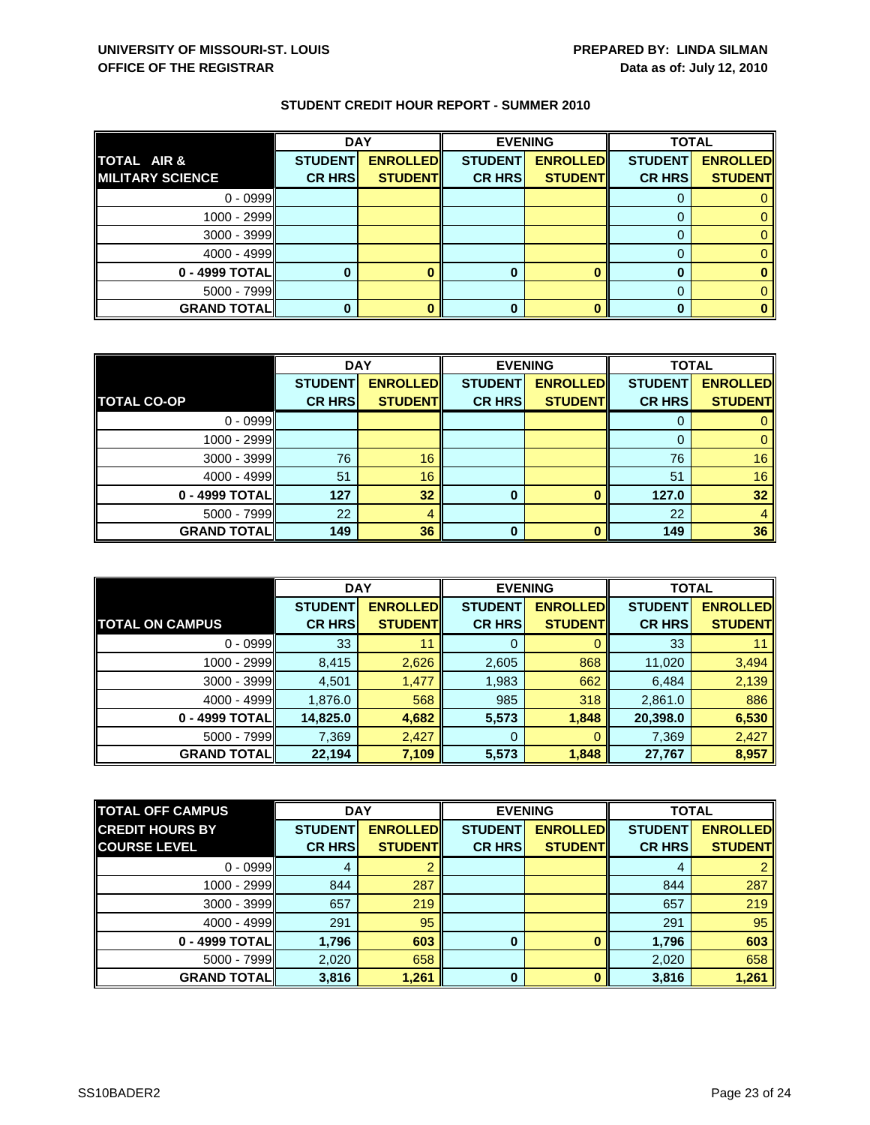|                         | <b>DAY</b>     |                 | <b>EVENING</b> |                 | <b>TOTAL</b>   |                 |
|-------------------------|----------------|-----------------|----------------|-----------------|----------------|-----------------|
| TOTAL AIR &             | <b>STUDENT</b> | <b>ENROLLED</b> | <b>STUDENT</b> | <b>ENROLLED</b> | <b>STUDENT</b> | <b>ENROLLED</b> |
| <b>MILITARY SCIENCE</b> | <b>CR HRS</b>  | <b>STUDENT</b>  | <b>CR HRS</b>  | <b>STUDENT</b>  | <b>CR HRS</b>  | <b>STUDENT</b>  |
| $0 - 0999$              |                |                 |                |                 |                |                 |
| 1000 - 2999             |                |                 |                |                 |                |                 |
| 3000 - 3999             |                |                 |                |                 |                |                 |
| $4000 - 4999$           |                |                 |                |                 |                |                 |
| 0 - 4999 TOTAL          |                |                 |                |                 |                |                 |
| $5000 - 7999$           |                |                 |                |                 |                |                 |
| <b>GRAND TOTAL</b>      |                |                 |                |                 |                |                 |

|                    | <b>DAY</b>     |                 | <b>EVENING</b> |                 | <b>TOTAL</b>   |                 |
|--------------------|----------------|-----------------|----------------|-----------------|----------------|-----------------|
|                    | <b>STUDENT</b> | <b>ENROLLED</b> | <b>STUDENT</b> | <b>ENROLLED</b> | <b>STUDENT</b> | <b>ENROLLED</b> |
| <b>TOTAL CO-OP</b> | <b>CR HRS</b>  | <b>STUDENT</b>  | <b>CR HRS</b>  | <b>STUDENT</b>  | <b>CR HRS</b>  | <b>STUDENT</b>  |
| $0 - 0999$         |                |                 |                |                 |                |                 |
| $1000 - 2999$      |                |                 |                |                 | 0              |                 |
| $3000 - 3999$      | 76             | 16              |                |                 | 76             | 16              |
| $4000 - 4999$      | 51             | 16              |                |                 | 51             | 16              |
| 0 - 4999 TOTAL     | 127            | 32              | 0              |                 | 127.0          | 32              |
| $5000 - 7999$      | 22             |                 |                |                 | 22             |                 |
| <b>GRAND TOTAL</b> | 149            | 36              | O              |                 | 149            | 36              |

|                        | <b>DAY</b>     |                  | <b>EVENING</b> |                 | <b>TOTAL</b>   |                 |
|------------------------|----------------|------------------|----------------|-----------------|----------------|-----------------|
|                        | <b>STUDENT</b> | <b>ENROLLEDI</b> | <b>STUDENT</b> | <b>ENROLLED</b> | <b>STUDENT</b> | <b>ENROLLED</b> |
| <b>TOTAL ON CAMPUS</b> | <b>CR HRS</b>  | <b>STUDENT</b>   | <b>CR HRS</b>  | <b>STUDENT</b>  | <b>CR HRS</b>  | <b>STUDENT</b>  |
| $0 - 0999$             | 33             | 11               | 0              |                 | 33             |                 |
| 1000 - 2999            | 8,415          | 2,626            | 2,605          | 868             | 11,020         | 3,494           |
| $3000 - 3999$          | 4,501          | 1,477            | 1,983          | 662             | 6,484          | 2,139           |
| $4000 - 4999$          | 1,876.0        | 568              | 985            | 318             | 2,861.0        | 886             |
| $0 - 4999$ TOTAL       | 14,825.0       | 4,682            | 5,573          | 1,848           | 20,398.0       | 6,530           |
| $5000 - 7999$          | 7,369          | 2,427            | 0              | O               | 7,369          | 2,427           |
| <b>GRAND TOTALI</b>    | 22,194         | 7,109            | 5,573          | 1,848           | 27,767         | 8,957           |

| <b>TOTAL OFF CAMPUS</b> | <b>DAY</b><br><b>EVENING</b> |                 | <b>TOTAL</b>   |                 |                |                 |
|-------------------------|------------------------------|-----------------|----------------|-----------------|----------------|-----------------|
| <b>CREDIT HOURS BY</b>  | <b>STUDENT</b>               | <b>ENROLLED</b> | <b>STUDENT</b> | <b>ENROLLED</b> | <b>STUDENT</b> | <b>ENROLLED</b> |
| <b>COURSE LEVEL</b>     | <b>CR HRS</b>                | <b>STUDENT</b>  | <b>CR HRS</b>  | <b>STUDENT</b>  | <b>CR HRS</b>  | <b>STUDENT</b>  |
| $0 - 0999$              |                              |                 |                |                 | 4              | $\overline{2}$  |
| 1000 - 2999             | 844                          | 287             |                |                 | 844            | 287             |
| $3000 - 3999$           | 657                          | 219             |                |                 | 657            | 219             |
| $4000 - 4999$           | 291                          | 95              |                |                 | 291            | 95              |
| 0 - 4999 TOTAL          | 1,796                        | 603             | 0              |                 | 1,796          | 603             |
| $5000 - 7999$           | 2,020                        | 658             |                |                 | 2,020          | 658             |
| <b>GRAND TOTAL</b>      | 3,816                        | 1,261           | $\bf{0}$       | n               | 3,816          | 1,261           |